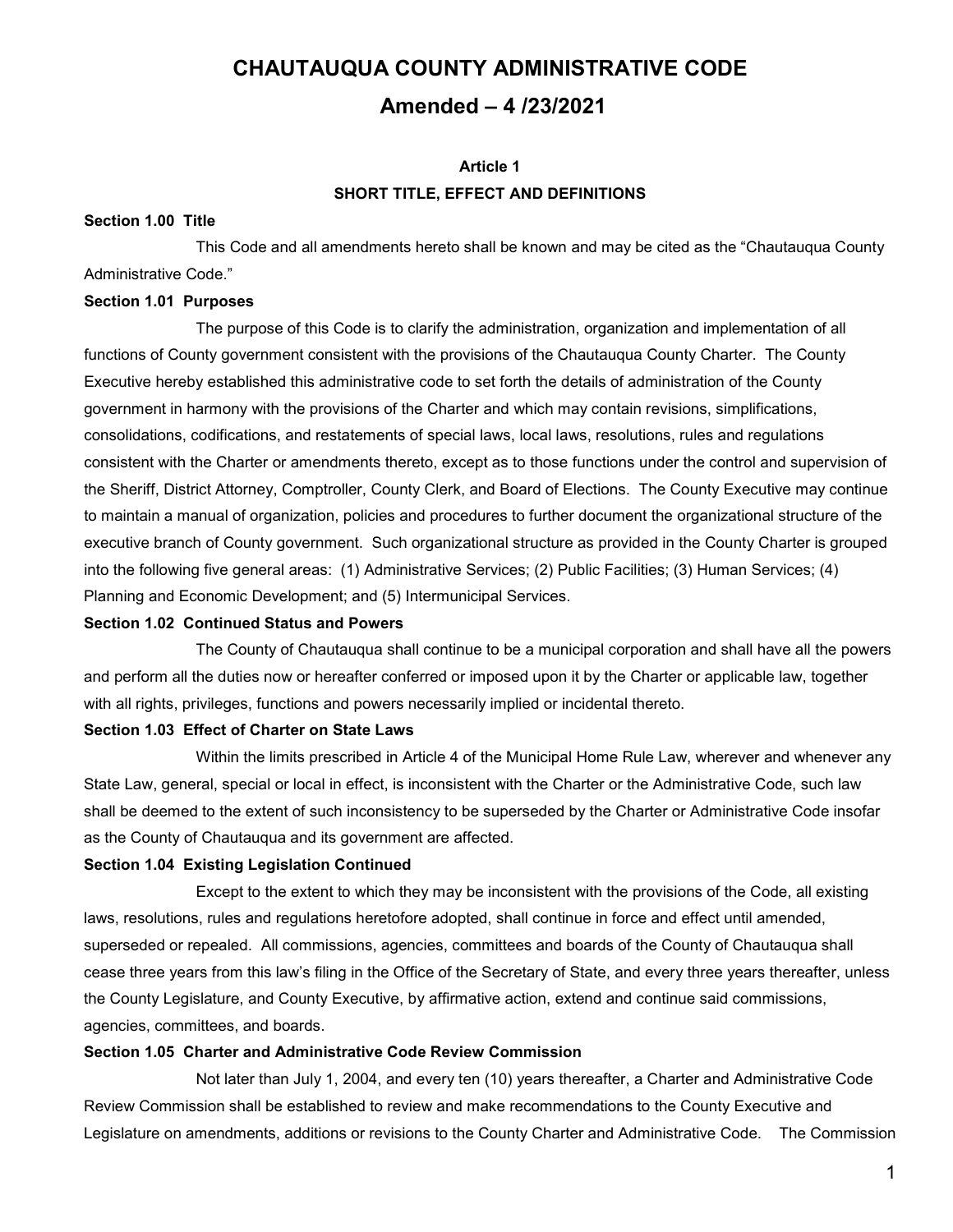# **CHAUTAUQUA COUNTY ADMINISTRATIVE CODE Amended – 4 /23/2021**

## **Article 1 SHORT TITLE, EFFECT AND DEFINITIONS**

#### **Section 1.00 Title**

This Code and all amendments hereto shall be known and may be cited as the "Chautauqua County Administrative Code."

#### **Section 1.01 Purposes**

The purpose of this Code is to clarify the administration, organization and implementation of all functions of County government consistent with the provisions of the Chautauqua County Charter. The County Executive hereby established this administrative code to set forth the details of administration of the County government in harmony with the provisions of the Charter and which may contain revisions, simplifications, consolidations, codifications, and restatements of special laws, local laws, resolutions, rules and regulations consistent with the Charter or amendments thereto, except as to those functions under the control and supervision of the Sheriff, District Attorney, Comptroller, County Clerk, and Board of Elections. The County Executive may continue to maintain a manual of organization, policies and procedures to further document the organizational structure of the executive branch of County government. Such organizational structure as provided in the County Charter is grouped into the following five general areas: (1) Administrative Services; (2) Public Facilities; (3) Human Services; (4) Planning and Economic Development; and (5) Intermunicipal Services.

#### **Section 1.02 Continued Status and Powers**

The County of Chautauqua shall continue to be a municipal corporation and shall have all the powers and perform all the duties now or hereafter conferred or imposed upon it by the Charter or applicable law, together with all rights, privileges, functions and powers necessarily implied or incidental thereto.

#### **Section 1.03 Effect of Charter on State Laws**

Within the limits prescribed in Article 4 of the Municipal Home Rule Law, wherever and whenever any State Law, general, special or local in effect, is inconsistent with the Charter or the Administrative Code, such law shall be deemed to the extent of such inconsistency to be superseded by the Charter or Administrative Code insofar as the County of Chautauqua and its government are affected.

#### **Section 1.04 Existing Legislation Continued**

Except to the extent to which they may be inconsistent with the provisions of the Code, all existing laws, resolutions, rules and regulations heretofore adopted, shall continue in force and effect until amended, superseded or repealed. All commissions, agencies, committees and boards of the County of Chautauqua shall cease three years from this law's filing in the Office of the Secretary of State, and every three years thereafter, unless the County Legislature, and County Executive, by affirmative action, extend and continue said commissions, agencies, committees, and boards.

## **Section 1.05 Charter and Administrative Code Review Commission**

Not later than July 1, 2004, and every ten (10) years thereafter, a Charter and Administrative Code Review Commission shall be established to review and make recommendations to the County Executive and Legislature on amendments, additions or revisions to the County Charter and Administrative Code. The Commission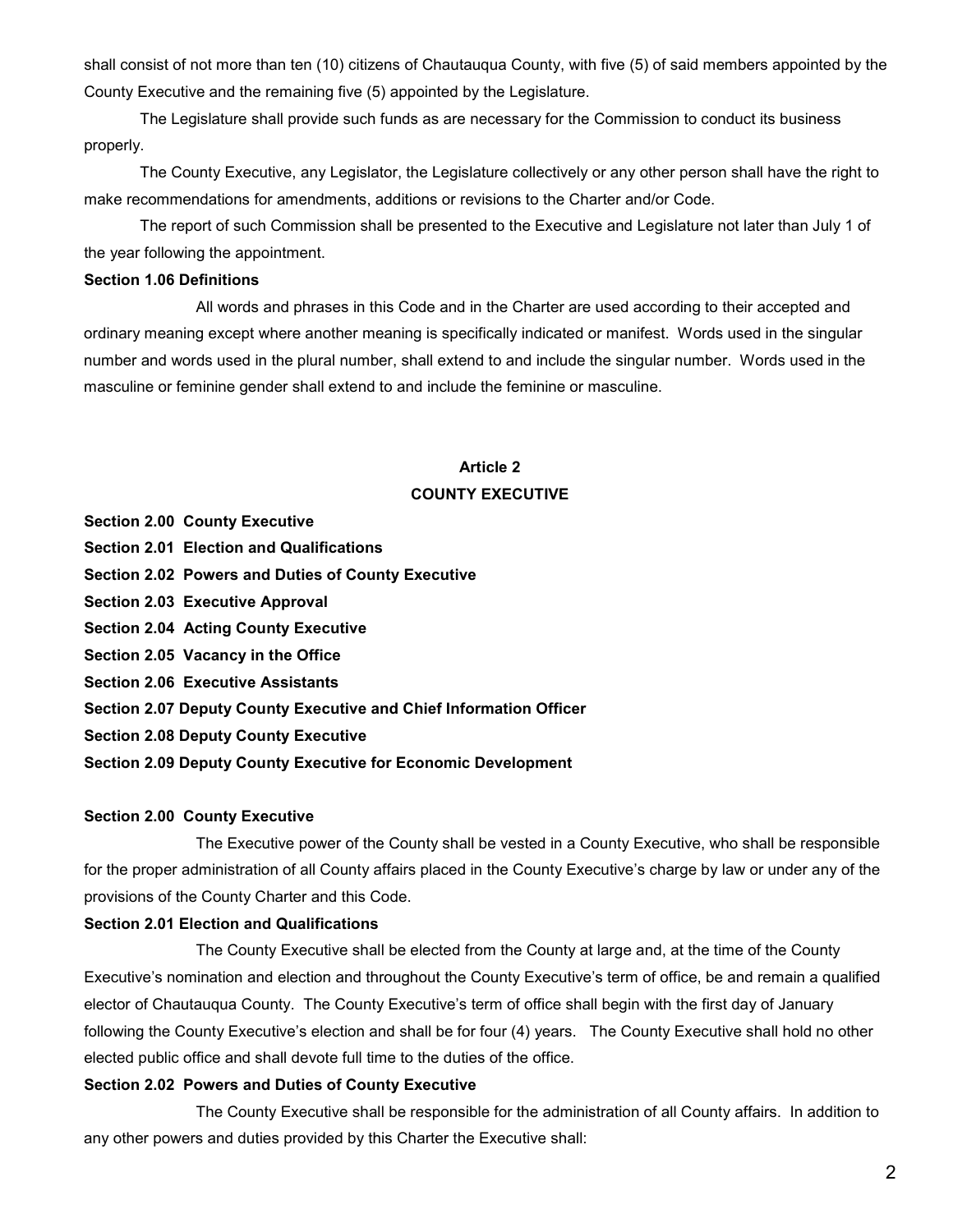shall consist of not more than ten (10) citizens of Chautauqua County, with five (5) of said members appointed by the County Executive and the remaining five (5) appointed by the Legislature.

The Legislature shall provide such funds as are necessary for the Commission to conduct its business properly.

The County Executive, any Legislator, the Legislature collectively or any other person shall have the right to make recommendations for amendments, additions or revisions to the Charter and/or Code.

The report of such Commission shall be presented to the Executive and Legislature not later than July 1 of the year following the appointment.

## **Section 1.06 Definitions**

All words and phrases in this Code and in the Charter are used according to their accepted and ordinary meaning except where another meaning is specifically indicated or manifest. Words used in the singular number and words used in the plural number, shall extend to and include the singular number. Words used in the masculine or feminine gender shall extend to and include the feminine or masculine.

## **Article 2 COUNTY EXECUTIVE**

**Section 2.00 County Executive**

- **Section 2.01 Election and Qualifications**
- **Section 2.02 Powers and Duties of County Executive**
- **Section 2.03 Executive Approval**
- **Section 2.04 Acting County Executive**
- **Section 2.05 Vacancy in the Office**
- **Section 2.06 Executive Assistants**
- **Section 2.07 Deputy County Executive and Chief Information Officer**
- **Section 2.08 Deputy County Executive**
- **Section 2.09 Deputy County Executive for Economic Development**

## **Section 2.00 County Executive**

The Executive power of the County shall be vested in a County Executive, who shall be responsible for the proper administration of all County affairs placed in the County Executive's charge by law or under any of the provisions of the County Charter and this Code.

## **Section 2.01 Election and Qualifications**

The County Executive shall be elected from the County at large and, at the time of the County Executive's nomination and election and throughout the County Executive's term of office, be and remain a qualified elector of Chautauqua County. The County Executive's term of office shall begin with the first day of January following the County Executive's election and shall be for four (4) years. The County Executive shall hold no other elected public office and shall devote full time to the duties of the office.

#### **Section 2.02 Powers and Duties of County Executive**

The County Executive shall be responsible for the administration of all County affairs. In addition to any other powers and duties provided by this Charter the Executive shall: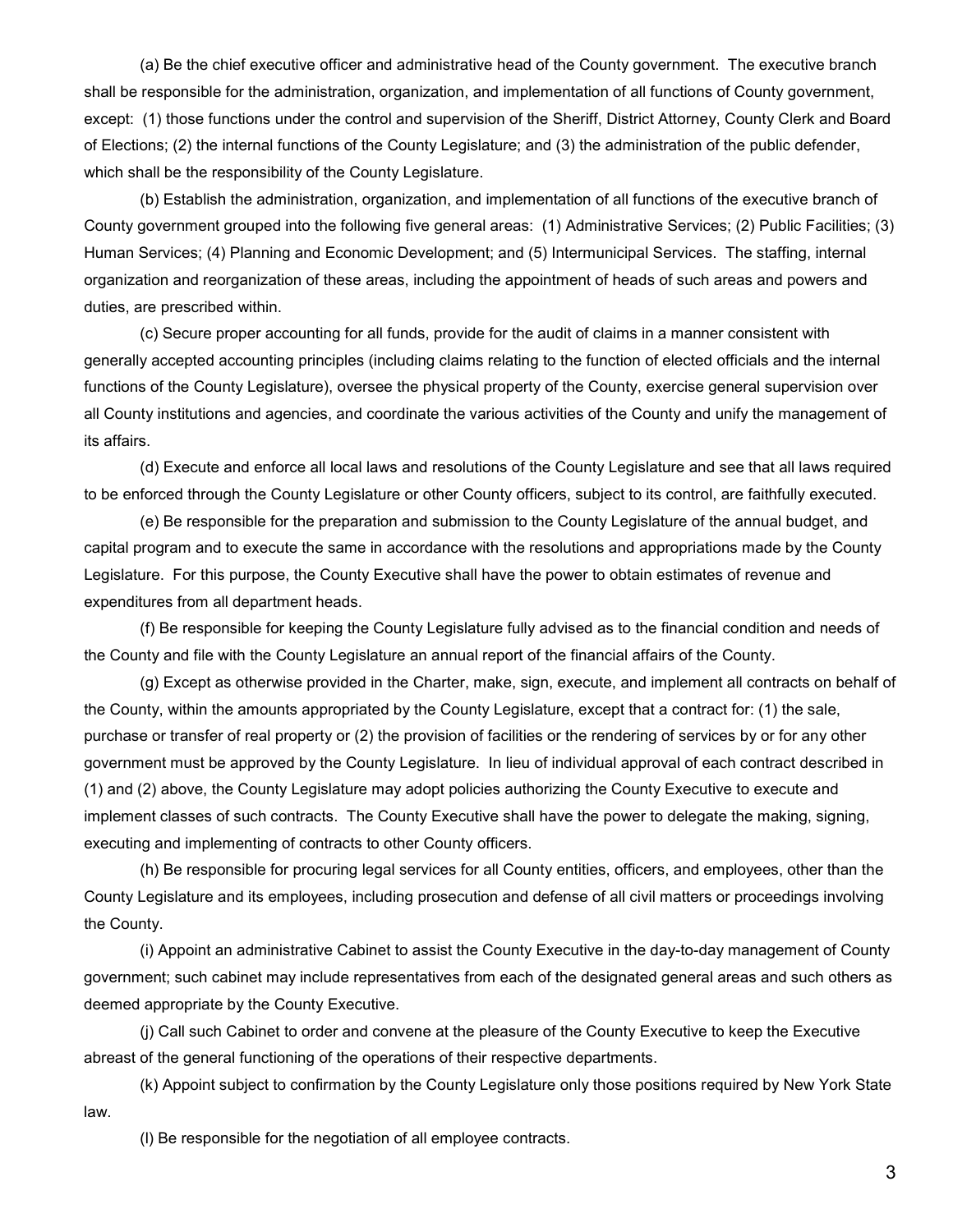(a) Be the chief executive officer and administrative head of the County government. The executive branch shall be responsible for the administration, organization, and implementation of all functions of County government, except: (1) those functions under the control and supervision of the Sheriff, District Attorney, County Clerk and Board of Elections; (2) the internal functions of the County Legislature; and (3) the administration of the public defender, which shall be the responsibility of the County Legislature.

(b) Establish the administration, organization, and implementation of all functions of the executive branch of County government grouped into the following five general areas: (1) Administrative Services; (2) Public Facilities; (3) Human Services; (4) Planning and Economic Development; and (5) Intermunicipal Services. The staffing, internal organization and reorganization of these areas, including the appointment of heads of such areas and powers and duties, are prescribed within.

(c) Secure proper accounting for all funds, provide for the audit of claims in a manner consistent with generally accepted accounting principles (including claims relating to the function of elected officials and the internal functions of the County Legislature), oversee the physical property of the County, exercise general supervision over all County institutions and agencies, and coordinate the various activities of the County and unify the management of its affairs.

(d) Execute and enforce all local laws and resolutions of the County Legislature and see that all laws required to be enforced through the County Legislature or other County officers, subject to its control, are faithfully executed.

(e) Be responsible for the preparation and submission to the County Legislature of the annual budget, and capital program and to execute the same in accordance with the resolutions and appropriations made by the County Legislature. For this purpose, the County Executive shall have the power to obtain estimates of revenue and expenditures from all department heads.

(f) Be responsible for keeping the County Legislature fully advised as to the financial condition and needs of the County and file with the County Legislature an annual report of the financial affairs of the County.

(g) Except as otherwise provided in the Charter, make, sign, execute, and implement all contracts on behalf of the County, within the amounts appropriated by the County Legislature, except that a contract for: (1) the sale, purchase or transfer of real property or (2) the provision of facilities or the rendering of services by or for any other government must be approved by the County Legislature. In lieu of individual approval of each contract described in (1) and (2) above, the County Legislature may adopt policies authorizing the County Executive to execute and implement classes of such contracts. The County Executive shall have the power to delegate the making, signing, executing and implementing of contracts to other County officers.

(h) Be responsible for procuring legal services for all County entities, officers, and employees, other than the County Legislature and its employees, including prosecution and defense of all civil matters or proceedings involving the County.

(i) Appoint an administrative Cabinet to assist the County Executive in the day-to-day management of County government; such cabinet may include representatives from each of the designated general areas and such others as deemed appropriate by the County Executive.

(j) Call such Cabinet to order and convene at the pleasure of the County Executive to keep the Executive abreast of the general functioning of the operations of their respective departments.

(k) Appoint subject to confirmation by the County Legislature only those positions required by New York State law.

(l) Be responsible for the negotiation of all employee contracts.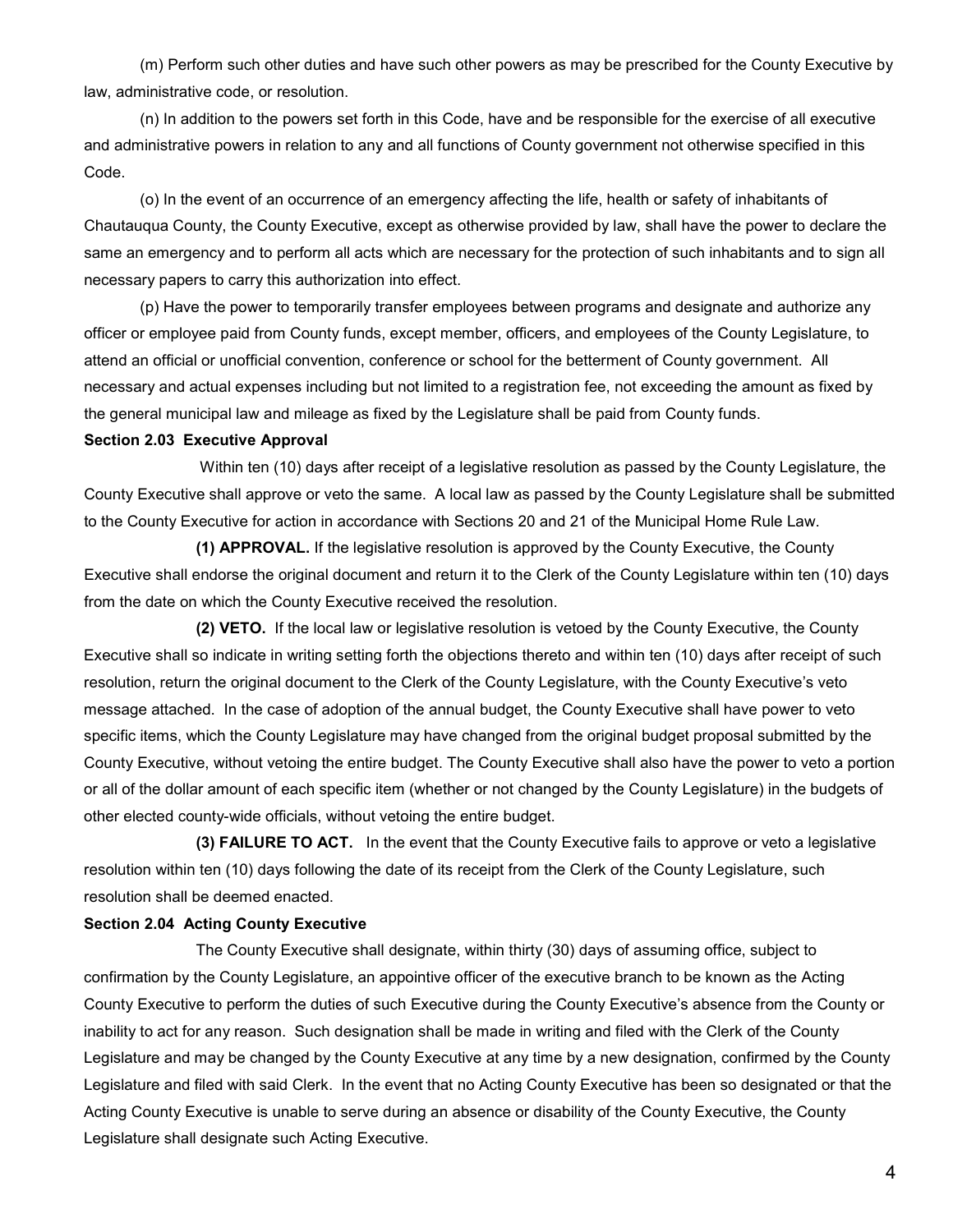(m) Perform such other duties and have such other powers as may be prescribed for the County Executive by law, administrative code, or resolution.

(n) In addition to the powers set forth in this Code, have and be responsible for the exercise of all executive and administrative powers in relation to any and all functions of County government not otherwise specified in this Code.

(o) In the event of an occurrence of an emergency affecting the life, health or safety of inhabitants of Chautauqua County, the County Executive, except as otherwise provided by law, shall have the power to declare the same an emergency and to perform all acts which are necessary for the protection of such inhabitants and to sign all necessary papers to carry this authorization into effect.

(p) Have the power to temporarily transfer employees between programs and designate and authorize any officer or employee paid from County funds, except member, officers, and employees of the County Legislature, to attend an official or unofficial convention, conference or school for the betterment of County government. All necessary and actual expenses including but not limited to a registration fee, not exceeding the amount as fixed by the general municipal law and mileage as fixed by the Legislature shall be paid from County funds.

#### **Section 2.03 Executive Approval**

Within ten (10) days after receipt of a legislative resolution as passed by the County Legislature, the County Executive shall approve or veto the same. A local law as passed by the County Legislature shall be submitted to the County Executive for action in accordance with Sections 20 and 21 of the Municipal Home Rule Law.

**(1) APPROVAL.** If the legislative resolution is approved by the County Executive, the County Executive shall endorse the original document and return it to the Clerk of the County Legislature within ten (10) days from the date on which the County Executive received the resolution.

**(2) VETO.** If the local law or legislative resolution is vetoed by the County Executive, the County Executive shall so indicate in writing setting forth the objections thereto and within ten (10) days after receipt of such resolution, return the original document to the Clerk of the County Legislature, with the County Executive's veto message attached. In the case of adoption of the annual budget, the County Executive shall have power to veto specific items, which the County Legislature may have changed from the original budget proposal submitted by the County Executive, without vetoing the entire budget. The County Executive shall also have the power to veto a portion or all of the dollar amount of each specific item (whether or not changed by the County Legislature) in the budgets of other elected county-wide officials, without vetoing the entire budget.

**(3) FAILURE TO ACT.** In the event that the County Executive fails to approve or veto a legislative resolution within ten (10) days following the date of its receipt from the Clerk of the County Legislature, such resolution shall be deemed enacted.

#### **Section 2.04 Acting County Executive**

The County Executive shall designate, within thirty (30) days of assuming office, subject to confirmation by the County Legislature, an appointive officer of the executive branch to be known as the Acting County Executive to perform the duties of such Executive during the County Executive's absence from the County or inability to act for any reason. Such designation shall be made in writing and filed with the Clerk of the County Legislature and may be changed by the County Executive at any time by a new designation, confirmed by the County Legislature and filed with said Clerk. In the event that no Acting County Executive has been so designated or that the Acting County Executive is unable to serve during an absence or disability of the County Executive, the County Legislature shall designate such Acting Executive.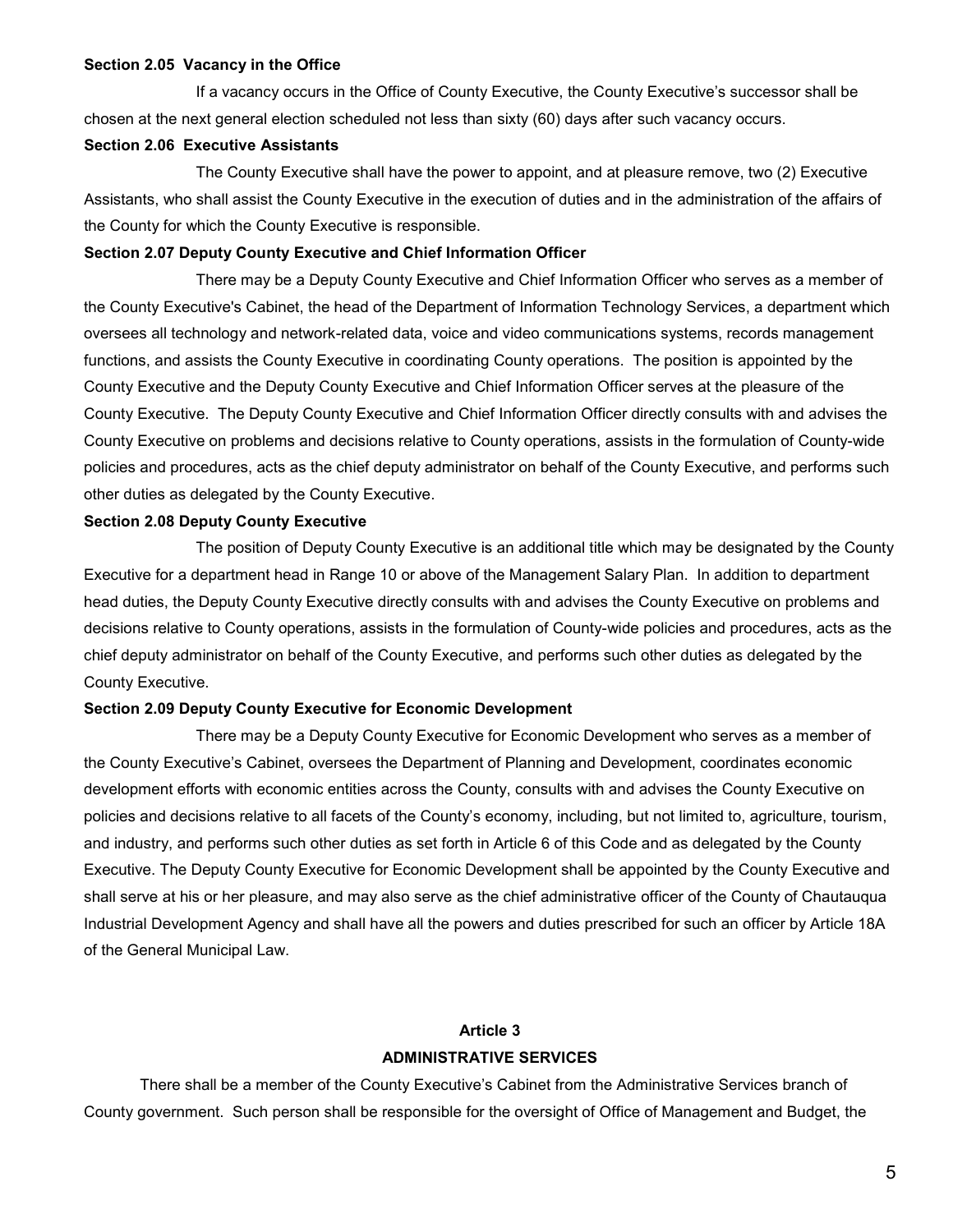#### **Section 2.05 Vacancy in the Office**

If a vacancy occurs in the Office of County Executive, the County Executive's successor shall be chosen at the next general election scheduled not less than sixty (60) days after such vacancy occurs.

#### **Section 2.06 Executive Assistants**

The County Executive shall have the power to appoint, and at pleasure remove, two (2) Executive Assistants, who shall assist the County Executive in the execution of duties and in the administration of the affairs of the County for which the County Executive is responsible.

#### **Section 2.07 Deputy County Executive and Chief Information Officer**

There may be a Deputy County Executive and Chief Information Officer who serves as a member of the County Executive's Cabinet, the head of the Department of Information Technology Services, a department which oversees all technology and network-related data, voice and video communications systems, records management functions, and assists the County Executive in coordinating County operations. The position is appointed by the County Executive and the Deputy County Executive and Chief Information Officer serves at the pleasure of the County Executive. The Deputy County Executive and Chief Information Officer directly consults with and advises the County Executive on problems and decisions relative to County operations, assists in the formulation of County-wide policies and procedures, acts as the chief deputy administrator on behalf of the County Executive, and performs such other duties as delegated by the County Executive.

#### **Section 2.08 Deputy County Executive**

The position of Deputy County Executive is an additional title which may be designated by the County Executive for a department head in Range 10 or above of the Management Salary Plan. In addition to department head duties, the Deputy County Executive directly consults with and advises the County Executive on problems and decisions relative to County operations, assists in the formulation of County-wide policies and procedures, acts as the chief deputy administrator on behalf of the County Executive, and performs such other duties as delegated by the County Executive.

#### **Section 2.09 Deputy County Executive for Economic Development**

There may be a Deputy County Executive for Economic Development who serves as a member of the County Executive's Cabinet, oversees the Department of Planning and Development, coordinates economic development efforts with economic entities across the County, consults with and advises the County Executive on policies and decisions relative to all facets of the County's economy, including, but not limited to, agriculture, tourism, and industry, and performs such other duties as set forth in Article 6 of this Code and as delegated by the County Executive. The Deputy County Executive for Economic Development shall be appointed by the County Executive and shall serve at his or her pleasure, and may also serve as the chief administrative officer of the County of Chautauqua Industrial Development Agency and shall have all the powers and duties prescribed for such an officer by Article 18A of the General Municipal Law.

## **Article 3 ADMINISTRATIVE SERVICES**

There shall be a member of the County Executive's Cabinet from the Administrative Services branch of County government. Such person shall be responsible for the oversight of Office of Management and Budget, the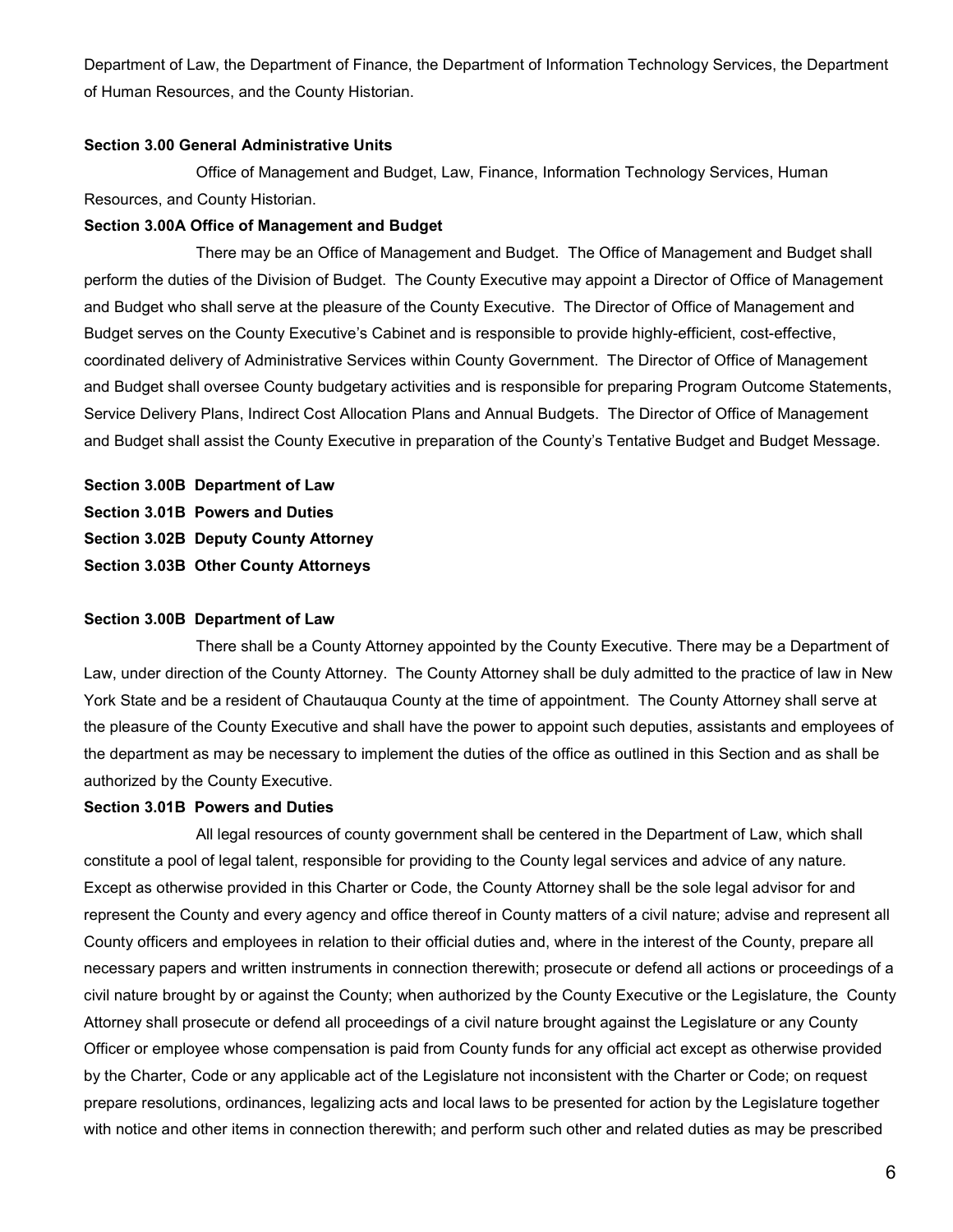Department of Law, the Department of Finance, the Department of Information Technology Services, the Department of Human Resources, and the County Historian.

## **Section 3.00 General Administrative Units**

Office of Management and Budget, Law, Finance, Information Technology Services, Human Resources, and County Historian.

#### **Section 3.00A Office of Management and Budget**

There may be an Office of Management and Budget. The Office of Management and Budget shall perform the duties of the Division of Budget. The County Executive may appoint a Director of Office of Management and Budget who shall serve at the pleasure of the County Executive. The Director of Office of Management and Budget serves on the County Executive's Cabinet and is responsible to provide highly-efficient, cost-effective, coordinated delivery of Administrative Services within County Government. The Director of Office of Management and Budget shall oversee County budgetary activities and is responsible for preparing Program Outcome Statements, Service Delivery Plans, Indirect Cost Allocation Plans and Annual Budgets. The Director of Office of Management and Budget shall assist the County Executive in preparation of the County's Tentative Budget and Budget Message.

**Section 3.00B Department of Law Section 3.01B Powers and Duties Section 3.02B Deputy County Attorney Section 3.03B Other County Attorneys**

## **Section 3.00B Department of Law**

There shall be a County Attorney appointed by the County Executive. There may be a Department of Law, under direction of the County Attorney. The County Attorney shall be duly admitted to the practice of law in New York State and be a resident of Chautauqua County at the time of appointment. The County Attorney shall serve at the pleasure of the County Executive and shall have the power to appoint such deputies, assistants and employees of the department as may be necessary to implement the duties of the office as outlined in this Section and as shall be authorized by the County Executive.

#### **Section 3.01B Powers and Duties**

All legal resources of county government shall be centered in the Department of Law, which shall constitute a pool of legal talent, responsible for providing to the County legal services and advice of any nature*.* Except as otherwise provided in this Charter or Code, the County Attorney shall be the sole legal advisor for and represent the County and every agency and office thereof in County matters of a civil nature; advise and represent all County officers and employees in relation to their official duties and, where in the interest of the County, prepare all necessary papers and written instruments in connection therewith; prosecute or defend all actions or proceedings of a civil nature brought by or against the County; when authorized by the County Executive or the Legislature, the County Attorney shall prosecute or defend all proceedings of a civil nature brought against the Legislature or any County Officer or employee whose compensation is paid from County funds for any official act except as otherwise provided by the Charter, Code or any applicable act of the Legislature not inconsistent with the Charter or Code; on request prepare resolutions, ordinances, legalizing acts and local laws to be presented for action by the Legislature together with notice and other items in connection therewith; and perform such other and related duties as may be prescribed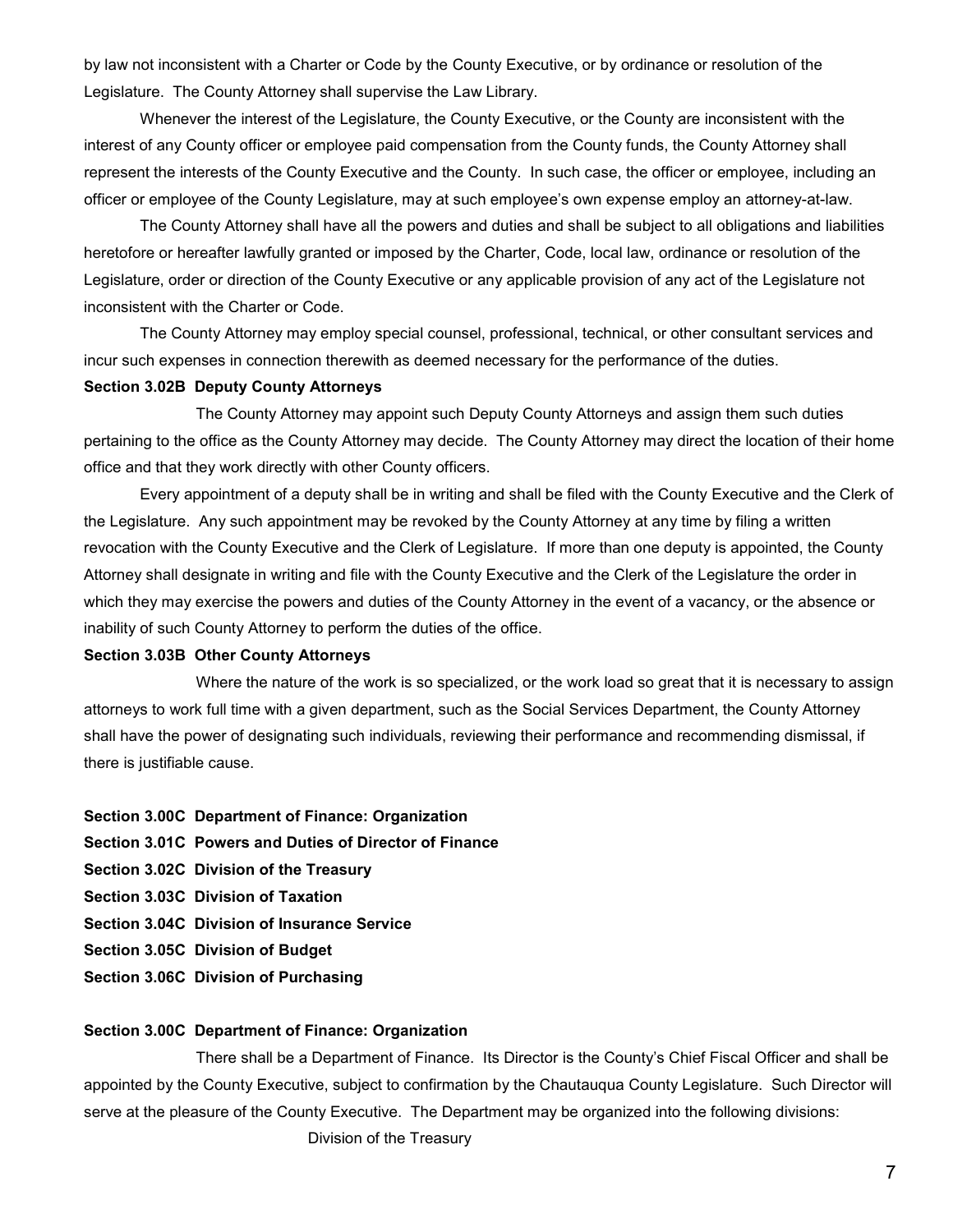by law not inconsistent with a Charter or Code by the County Executive, or by ordinance or resolution of the Legislature. The County Attorney shall supervise the Law Library.

Whenever the interest of the Legislature, the County Executive, or the County are inconsistent with the interest of any County officer or employee paid compensation from the County funds, the County Attorney shall represent the interests of the County Executive and the County. In such case, the officer or employee, including an officer or employee of the County Legislature, may at such employee's own expense employ an attorney-at-law.

The County Attorney shall have all the powers and duties and shall be subject to all obligations and liabilities heretofore or hereafter lawfully granted or imposed by the Charter, Code, local law, ordinance or resolution of the Legislature, order or direction of the County Executive or any applicable provision of any act of the Legislature not inconsistent with the Charter or Code.

The County Attorney may employ special counsel, professional, technical, or other consultant services and incur such expenses in connection therewith as deemed necessary for the performance of the duties.

### **Section 3.02B Deputy County Attorneys**

The County Attorney may appoint such Deputy County Attorneys and assign them such duties pertaining to the office as the County Attorney may decide. The County Attorney may direct the location of their home office and that they work directly with other County officers.

Every appointment of a deputy shall be in writing and shall be filed with the County Executive and the Clerk of the Legislature. Any such appointment may be revoked by the County Attorney at any time by filing a written revocation with the County Executive and the Clerk of Legislature. If more than one deputy is appointed, the County Attorney shall designate in writing and file with the County Executive and the Clerk of the Legislature the order in which they may exercise the powers and duties of the County Attorney in the event of a vacancy, or the absence or inability of such County Attorney to perform the duties of the office.

## **Section 3.03B Other County Attorneys**

Where the nature of the work is so specialized, or the work load so great that it is necessary to assign attorneys to work full time with a given department, such as the Social Services Department, the County Attorney shall have the power of designating such individuals, reviewing their performance and recommending dismissal, if there is justifiable cause.

#### **Section 3.00C Department of Finance: Organization**

- **Section 3.01C Powers and Duties of Director of Finance**
- **Section 3.02C Division of the Treasury**
- **Section 3.03C Division of Taxation**
- **Section 3.04C Division of Insurance Service**
- **Section 3.05C Division of Budget**
- **Section 3.06C Division of Purchasing**

#### **Section 3.00C Department of Finance: Organization**

There shall be a Department of Finance. Its Director is the County's Chief Fiscal Officer and shall be appointed by the County Executive, subject to confirmation by the Chautauqua County Legislature. Such Director will serve at the pleasure of the County Executive. The Department may be organized into the following divisions:

Division of the Treasury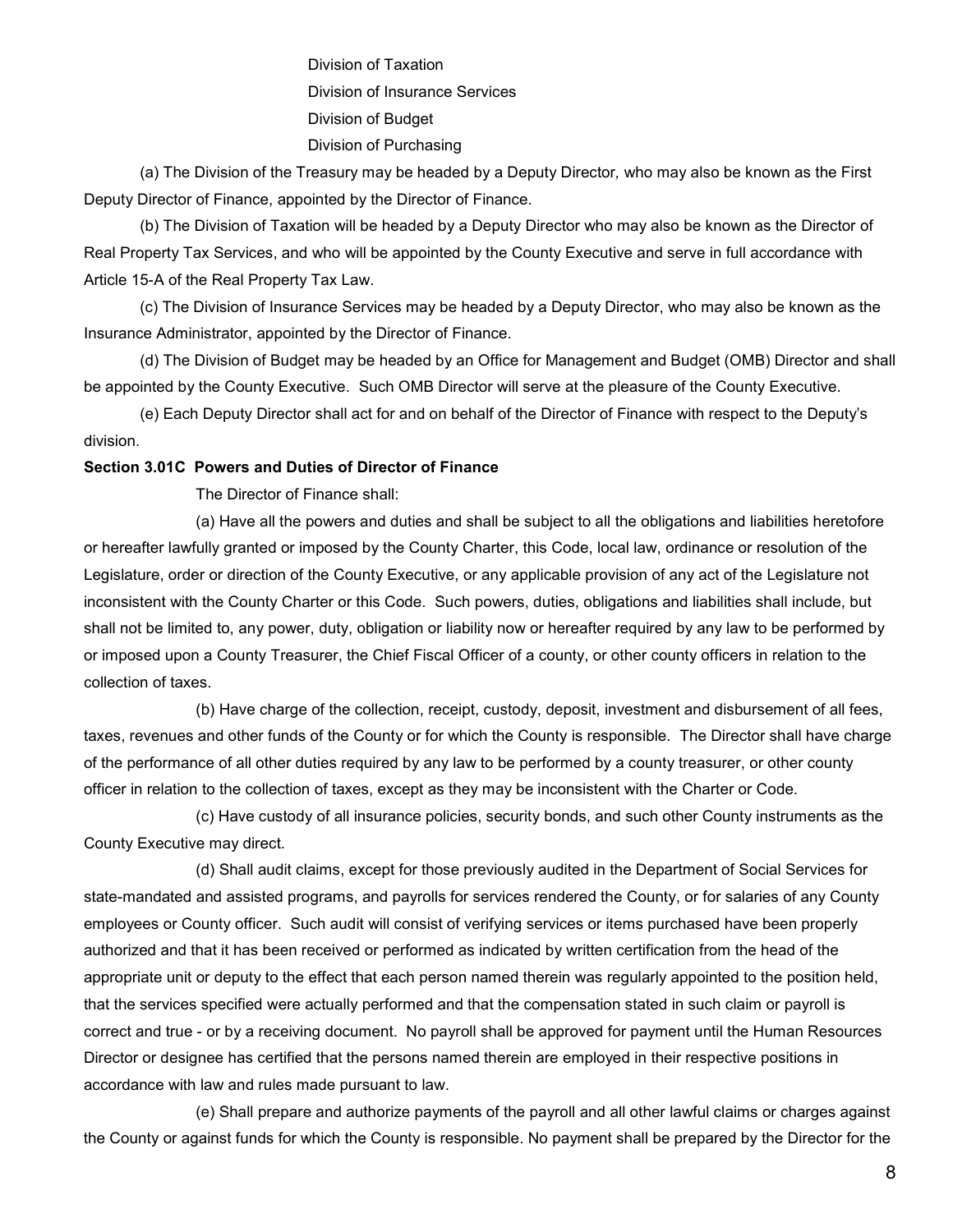Division of Taxation Division of Insurance Services Division of Budget Division of Purchasing

(a) The Division of the Treasury may be headed by a Deputy Director*,* who may also be known as the First Deputy Director of Finance, appointed by the Director of Finance.

(b) The Division of Taxation will be headed by a Deputy Director who may also be known as the Director of Real Property Tax Services, and who will be appointed by the County Executive and serve in full accordance with Article 15-A of the Real Property Tax Law.

(c) The Division of Insurance Services may be headed by a Deputy Director, who may also be known as the Insurance Administrator, appointed by the Director of Finance.

(d) The Division of Budget may be headed by an Office for Management and Budget (OMB) Director and shall be appointed by the County Executive. Such OMB Director will serve at the pleasure of the County Executive.

(e) Each Deputy Director shall act for and on behalf of the Director of Finance with respect to the Deputy's division.

## **Section 3.01C Powers and Duties of Director of Finance**

The Director of Finance shall:

(a) Have all the powers and duties and shall be subject to all the obligations and liabilities heretofore or hereafter lawfully granted or imposed by the County Charter, this Code, local law, ordinance or resolution of the Legislature, order or direction of the County Executive, or any applicable provision of any act of the Legislature not inconsistent with the County Charter or this Code. Such powers, duties, obligations and liabilities shall include, but shall not be limited to, any power, duty, obligation or liability now or hereafter required by any law to be performed by or imposed upon a County Treasurer, the Chief Fiscal Officer of a county, or other county officers in relation to the collection of taxes.

(b) Have charge of the collection, receipt, custody, deposit, investment and disbursement of all fees, taxes, revenues and other funds of the County or for which the County is responsible. The Director shall have charge of the performance of all other duties required by any law to be performed by a county treasurer, or other county officer in relation to the collection of taxes, except as they may be inconsistent with the Charter or Code.

(c) Have custody of all insurance policies, security bonds, and such other County instruments as the County Executive may direct.

(d) Shall audit claims, except for those previously audited in the Department of Social Services for state-mandated and assisted programs, and payrolls for services rendered the County, or for salaries of any County employees or County officer. Such audit will consist of verifying services or items purchased have been properly authorized and that it has been received or performed as indicated by written certification from the head of the appropriate unit or deputy to the effect that each person named therein was regularly appointed to the position held, that the services specified were actually performed and that the compensation stated in such claim or payroll is correct and true - or by a receiving document. No payroll shall be approved for payment until the Human Resources Director or designee has certified that the persons named therein are employed in their respective positions in accordance with law and rules made pursuant to law.

(e) Shall prepare and authorize payments of the payroll and all other lawful claims or charges against the County or against funds for which the County is responsible. No payment shall be prepared by the Director for the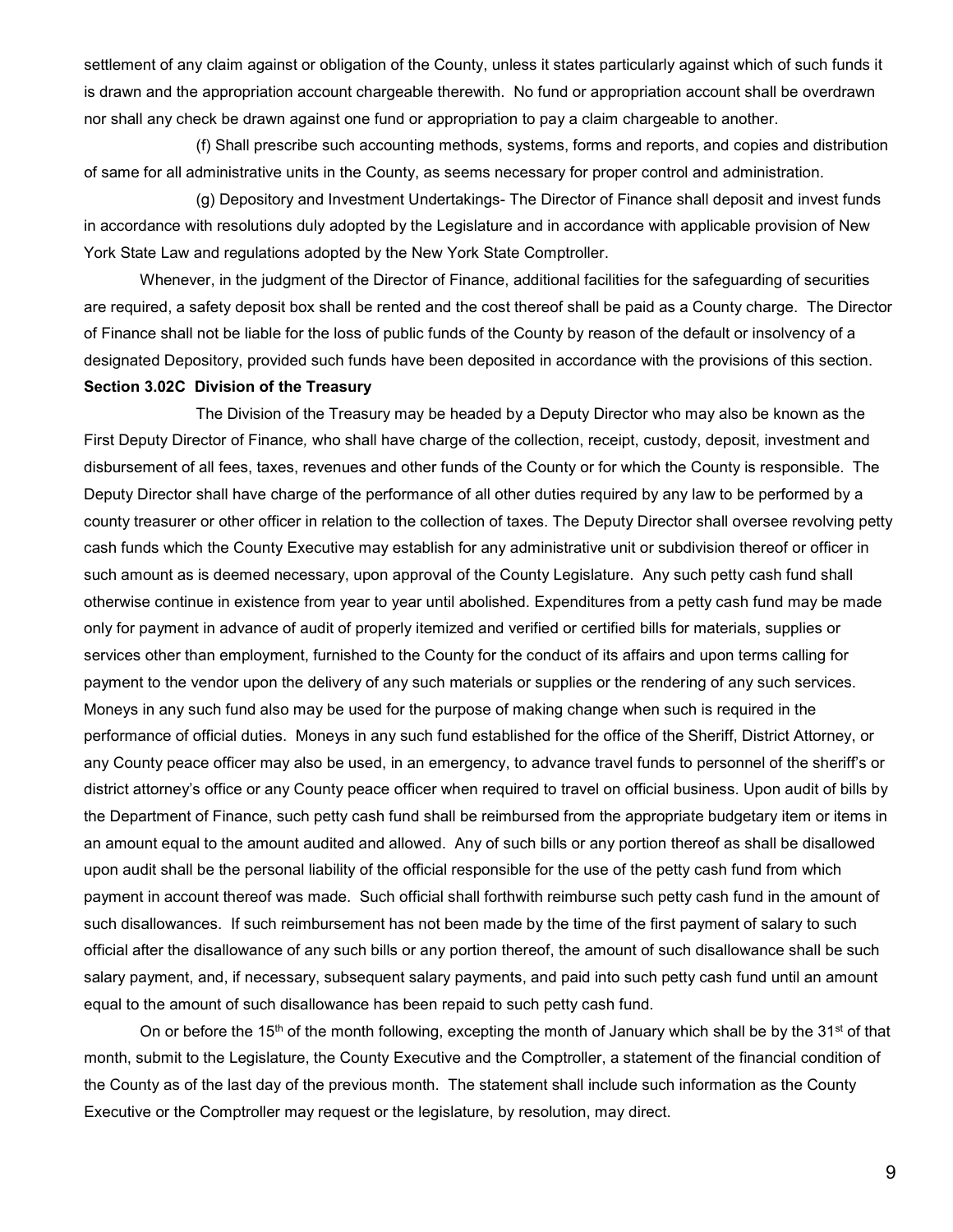settlement of any claim against or obligation of the County, unless it states particularly against which of such funds it is drawn and the appropriation account chargeable therewith. No fund or appropriation account shall be overdrawn nor shall any check be drawn against one fund or appropriation to pay a claim chargeable to another.

(f) Shall prescribe such accounting methods, systems, forms and reports, and copies and distribution of same for all administrative units in the County, as seems necessary for proper control and administration.

(g) Depository and Investment Undertakings- The Director of Finance shall deposit and invest funds in accordance with resolutions duly adopted by the Legislature and in accordance with applicable provision of New York State Law and regulations adopted by the New York State Comptroller.

Whenever, in the judgment of the Director of Finance, additional facilities for the safeguarding of securities are required, a safety deposit box shall be rented and the cost thereof shall be paid as a County charge. The Director of Finance shall not be liable for the loss of public funds of the County by reason of the default or insolvency of a designated Depository, provided such funds have been deposited in accordance with the provisions of this section.

## **Section 3.02C Division of the Treasury**

The Division of the Treasury may be headed by a Deputy Director who may also be known as the First Deputy Director of Finance*,* who shall have charge of the collection, receipt, custody, deposit, investment and disbursement of all fees, taxes, revenues and other funds of the County or for which the County is responsible. The Deputy Director shall have charge of the performance of all other duties required by any law to be performed by a county treasurer or other officer in relation to the collection of taxes. The Deputy Director shall oversee revolving petty cash funds which the County Executive may establish for any administrative unit or subdivision thereof or officer in such amount as is deemed necessary, upon approval of the County Legislature. Any such petty cash fund shall otherwise continue in existence from year to year until abolished. Expenditures from a petty cash fund may be made only for payment in advance of audit of properly itemized and verified or certified bills for materials, supplies or services other than employment, furnished to the County for the conduct of its affairs and upon terms calling for payment to the vendor upon the delivery of any such materials or supplies or the rendering of any such services. Moneys in any such fund also may be used for the purpose of making change when such is required in the performance of official duties. Moneys in any such fund established for the office of the Sheriff, District Attorney, or any County peace officer may also be used, in an emergency, to advance travel funds to personnel of the sheriff's or district attorney's office or any County peace officer when required to travel on official business. Upon audit of bills by the Department of Finance, such petty cash fund shall be reimbursed from the appropriate budgetary item or items in an amount equal to the amount audited and allowed. Any of such bills or any portion thereof as shall be disallowed upon audit shall be the personal liability of the official responsible for the use of the petty cash fund from which payment in account thereof was made. Such official shall forthwith reimburse such petty cash fund in the amount of such disallowances. If such reimbursement has not been made by the time of the first payment of salary to such official after the disallowance of any such bills or any portion thereof, the amount of such disallowance shall be such salary payment, and, if necessary, subsequent salary payments, and paid into such petty cash fund until an amount equal to the amount of such disallowance has been repaid to such petty cash fund.

On or before the 15<sup>th</sup> of the month following, excepting the month of January which shall be by the 31<sup>st</sup> of that month, submit to the Legislature, the County Executive and the Comptroller, a statement of the financial condition of the County as of the last day of the previous month. The statement shall include such information as the County Executive or the Comptroller may request or the legislature, by resolution, may direct.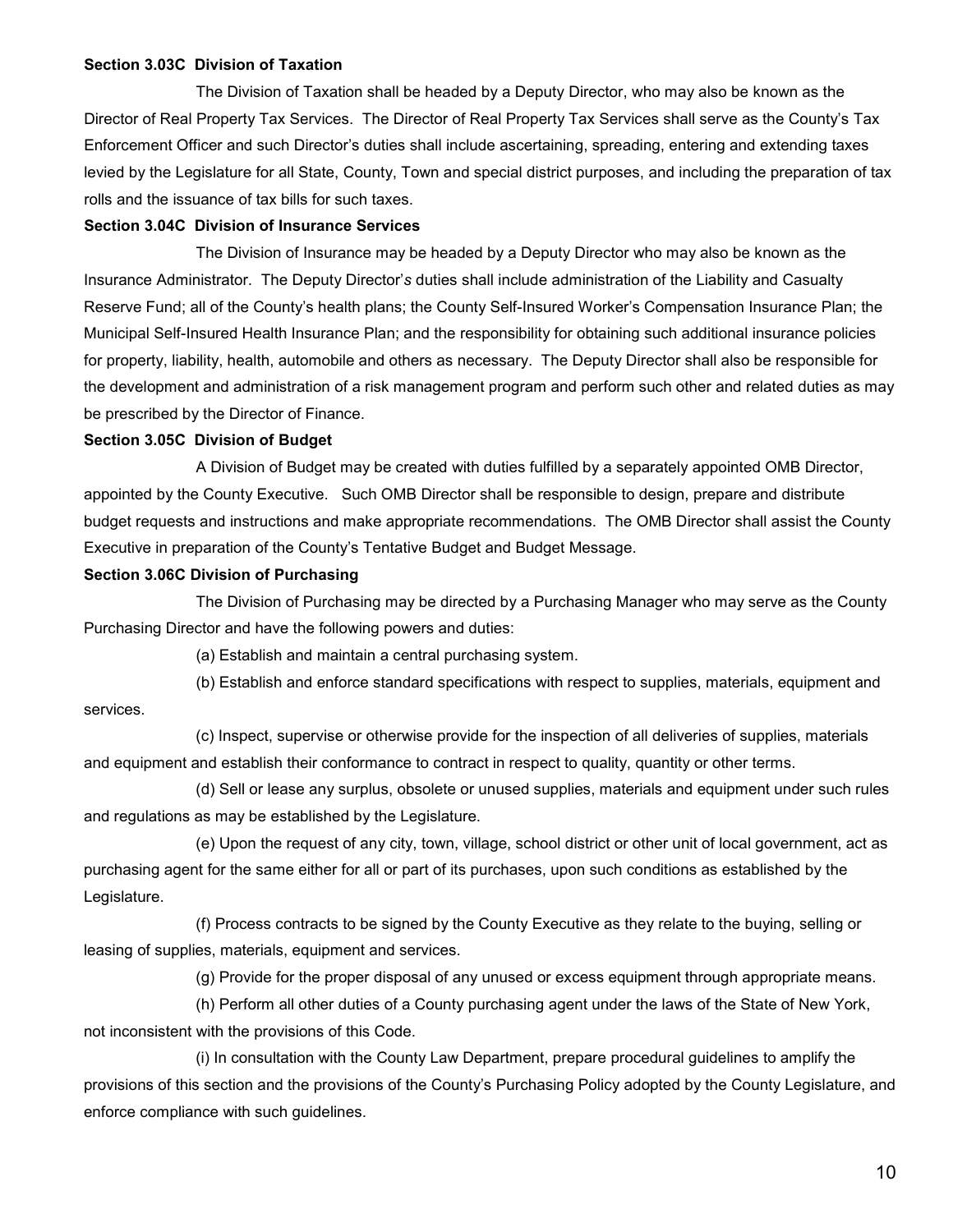## **Section 3.03C Division of Taxation**

The Division of Taxation shall be headed by a Deputy Director, who may also be known as the Director of Real Property Tax Services. The Director of Real Property Tax Services shall serve as the County's Tax Enforcement Officer and such Director's duties shall include ascertaining, spreading, entering and extending taxes levied by the Legislature for all State, County, Town and special district purposes, and including the preparation of tax rolls and the issuance of tax bills for such taxes.

#### **Section 3.04C Division of Insurance Services**

The Division of Insurance may be headed by a Deputy Director who may also be known as the Insurance Administrator. The Deputy Director'*s* duties shall include administration of the Liability and Casualty Reserve Fund; all of the County's health plans; the County Self-Insured Worker's Compensation Insurance Plan; the Municipal Self-Insured Health Insurance Plan; and the responsibility for obtaining such additional insurance policies for property, liability, health, automobile and others as necessary. The Deputy Director shall also be responsible for the development and administration of a risk management program and perform such other and related duties as may be prescribed by the Director of Finance.

#### **Section 3.05C Division of Budget**

A Division of Budget may be created with duties fulfilled by a separately appointed OMB Director, appointed by the County Executive. Such OMB Director shall be responsible to design, prepare and distribute budget requests and instructions and make appropriate recommendations. The OMB Director shall assist the County Executive in preparation of the County's Tentative Budget and Budget Message.

#### **Section 3.06C Division of Purchasing**

The Division of Purchasing may be directed by a Purchasing Manager who may serve as the County Purchasing Director and have the following powers and duties:

(a) Establish and maintain a central purchasing system.

(b) Establish and enforce standard specifications with respect to supplies, materials, equipment and services.

(c) Inspect, supervise or otherwise provide for the inspection of all deliveries of supplies, materials and equipment and establish their conformance to contract in respect to quality, quantity or other terms.

(d) Sell or lease any surplus, obsolete or unused supplies, materials and equipment under such rules and regulations as may be established by the Legislature.

(e) Upon the request of any city, town, village, school district or other unit of local government, act as purchasing agent for the same either for all or part of its purchases, upon such conditions as established by the Legislature.

(f) Process contracts to be signed by the County Executive as they relate to the buying, selling or leasing of supplies, materials, equipment and services.

(g) Provide for the proper disposal of any unused or excess equipment through appropriate means.

(h) Perform all other duties of a County purchasing agent under the laws of the State of New York, not inconsistent with the provisions of this Code.

(i) In consultation with the County Law Department, prepare procedural guidelines to amplify the provisions of this section and the provisions of the County's Purchasing Policy adopted by the County Legislature, and enforce compliance with such guidelines.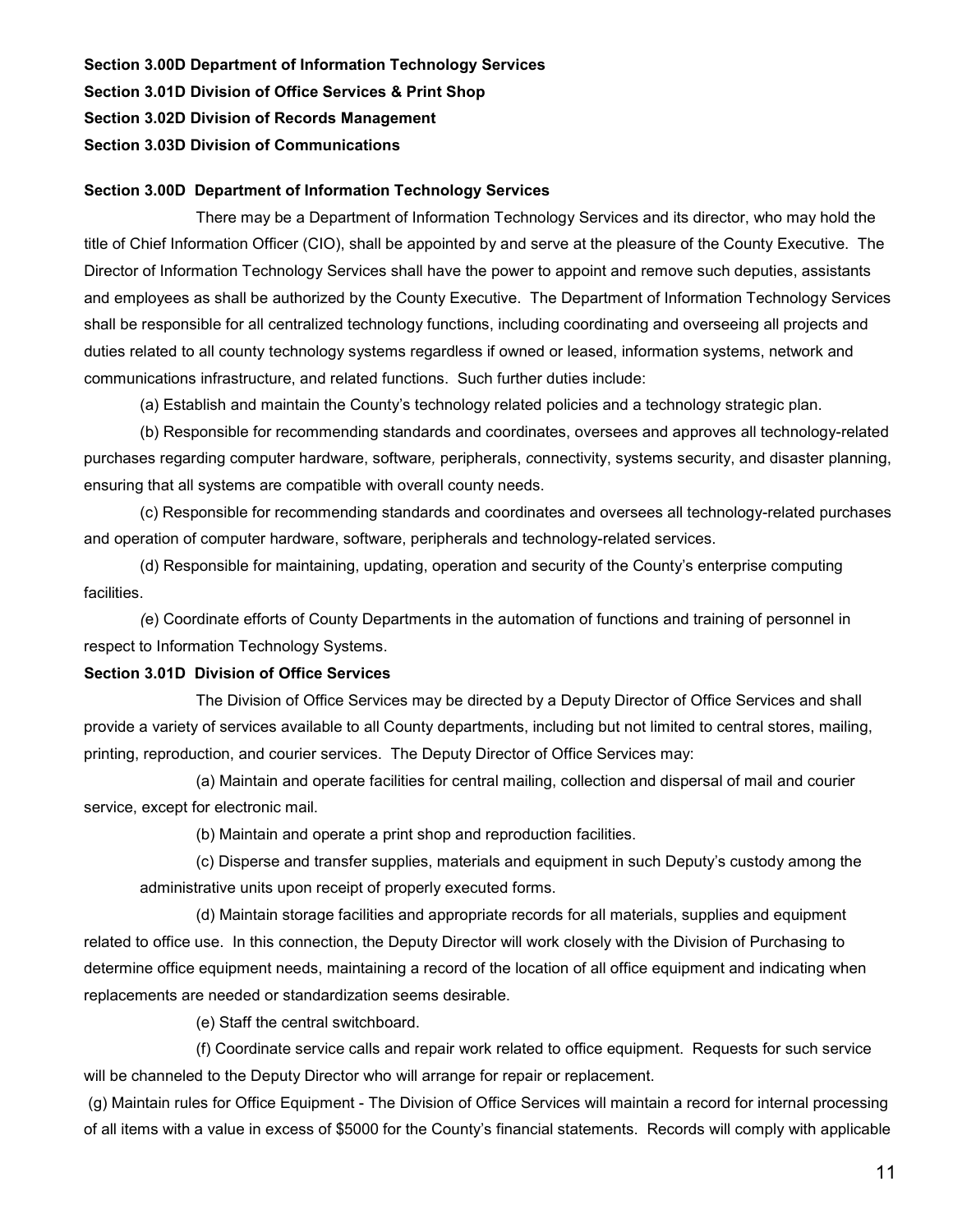**Section 3.00D Department of Information Technology Services**

**Section 3.01D Division of Office Services & Print Shop**

**Section 3.02D Division of Records Management**

**Section 3.03D Division of Communications**

## **Section 3.00D Department of Information Technology Services**

There may be a Department of Information Technology Services and its director, who may hold the title of Chief Information Officer (CIO), shall be appointed by and serve at the pleasure of the County Executive. The Director of Information Technology Services shall have the power to appoint and remove such deputies, assistants and employees as shall be authorized by the County Executive. The Department of Information Technology Services shall be responsible for all centralized technology functions, including coordinating and overseeing all projects and duties related to all county technology systems regardless if owned or leased, information systems, network and communications infrastructure, and related functions. Such further duties include:

(a) Establish and maintain the County's technology related policies and a technology strategic plan.

(b) Responsible for recommending standards and coordinates, oversees and approves all technology-related purchases regarding computer hardware, software*,* peripherals, *c*onnectivity, systems security, and disaster planning, ensuring that all systems are compatible with overall county needs.

(c) Responsible for recommending standards and coordinates and oversees all technology-related purchases and operation of computer hardware, software, peripherals and technology-related services.

(d) Responsible for maintaining, updating, operation and security of the County's enterprise computing facilities.

*(*e) Coordinate efforts of County Departments in the automation of functions and training of personnel in respect to Information Technology Systems.

## **Section 3.01D Division of Office Services**

The Division of Office Services may be directed by a Deputy Director of Office Services and shall provide a variety of services available to all County departments, including but not limited to central stores, mailing, printing, reproduction, and courier services. The Deputy Director of Office Services may:

(a) Maintain and operate facilities for central mailing, collection and dispersal of mail and courier service, except for electronic mail.

(b) Maintain and operate a print shop and reproduction facilities.

(c) Disperse and transfer supplies, materials and equipment in such Deputy's custody among the administrative units upon receipt of properly executed forms.

(d) Maintain storage facilities and appropriate records for all materials, supplies and equipment related to office use. In this connection, the Deputy Director will work closely with the Division of Purchasing to determine office equipment needs, maintaining a record of the location of all office equipment and indicating when replacements are needed or standardization seems desirable.

(e) Staff the central switchboard.

(f) Coordinate service calls and repair work related to office equipment. Requests for such service will be channeled to the Deputy Director who will arrange for repair or replacement.

(g) Maintain rules for Office Equipment - The Division of Office Services will maintain a record for internal processing of all items with a value in excess of \$5000 for the County's financial statements. Records will comply with applicable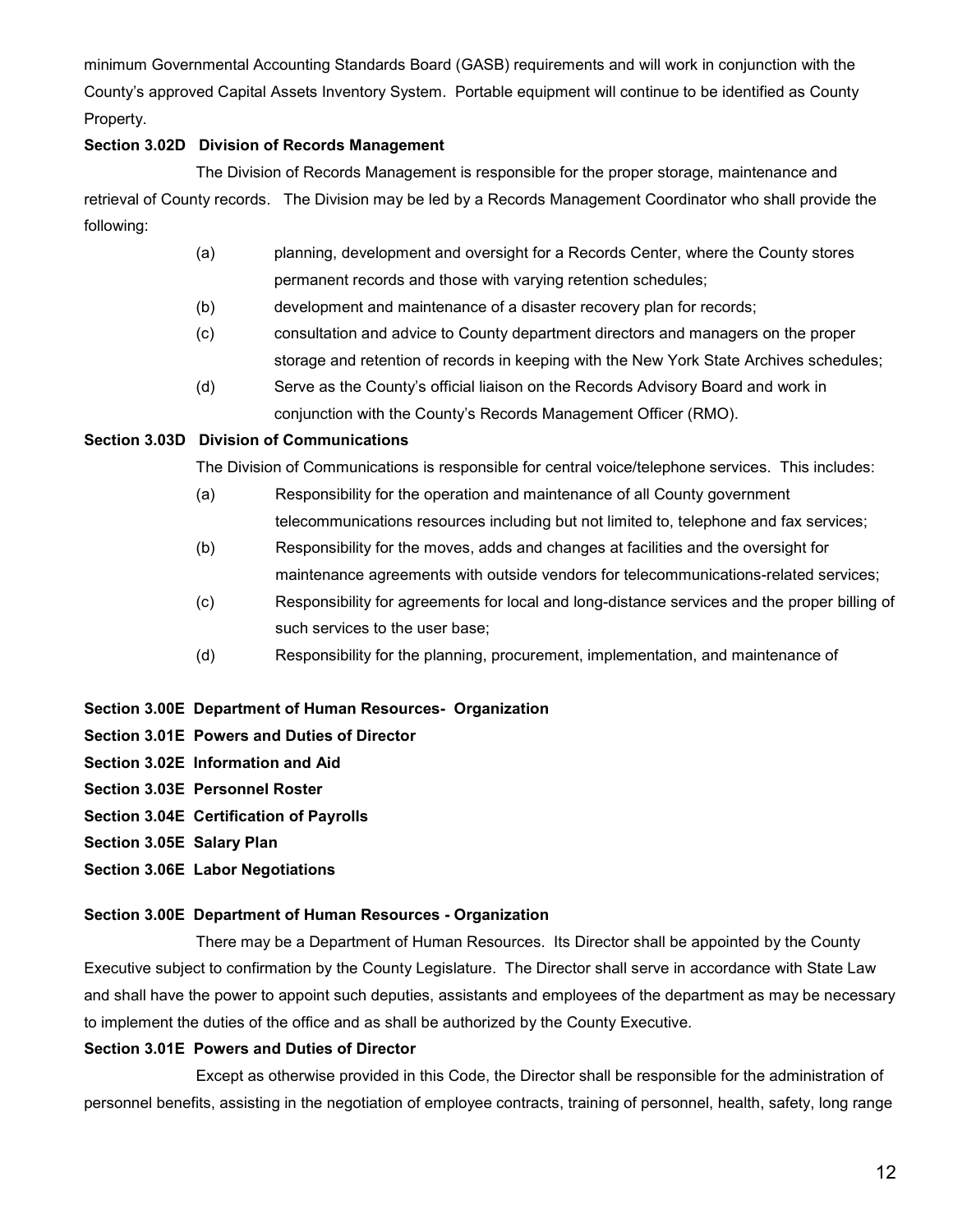minimum Governmental Accounting Standards Board (GASB) requirements and will work in conjunction with the County's approved Capital Assets Inventory System. Portable equipment will continue to be identified as County Property.

## **Section 3.02D Division of Records Management**

The Division of Records Management is responsible for the proper storage, maintenance and retrieval of County records. The Division may be led by a Records Management Coordinator who shall provide the following:

- (a) planning, development and oversight for a Records Center, where the County stores permanent records and those with varying retention schedules;
- (b) development and maintenance of a disaster recovery plan for records;
- (c) consultation and advice to County department directors and managers on the proper storage and retention of records in keeping with the New York State Archives schedules;
- (d) Serve as the County's official liaison on the Records Advisory Board and work in conjunction with the County's Records Management Officer (RMO).

## **Section 3.03D Division of Communications**

The Division of Communications is responsible for central voice/telephone services. This includes:

- (a) Responsibility for the operation and maintenance of all County government telecommunications resources including but not limited to, telephone and fax services;
- (b) Responsibility for the moves, adds and changes at facilities and the oversight for maintenance agreements with outside vendors for telecommunications-related services;
- (c) Responsibility for agreements for local and long-distance services and the proper billing of such services to the user base;
- (d) Responsibility for the planning, procurement, implementation, and maintenance of
- **Section 3.00E Department of Human Resources- Organization**
- **Section 3.01E Powers and Duties of Director**
- **Section 3.02E Information and Aid**
- **Section 3.03E Personnel Roster**
- **Section 3.04E Certification of Payrolls**
- **Section 3.05E Salary Plan**
- **Section 3.06E Labor Negotiations**

## **Section 3.00E Department of Human Resources - Organization**

There may be a Department of Human Resources. Its Director shall be appointed by the County Executive subject to confirmation by the County Legislature. The Director shall serve in accordance with State Law and shall have the power to appoint such deputies, assistants and employees of the department as may be necessary to implement the duties of the office and as shall be authorized by the County Executive.

## **Section 3.01E Powers and Duties of Director**

Except as otherwise provided in this Code, the Director shall be responsible for the administration of personnel benefits, assisting in the negotiation of employee contracts, training of personnel, health, safety, long range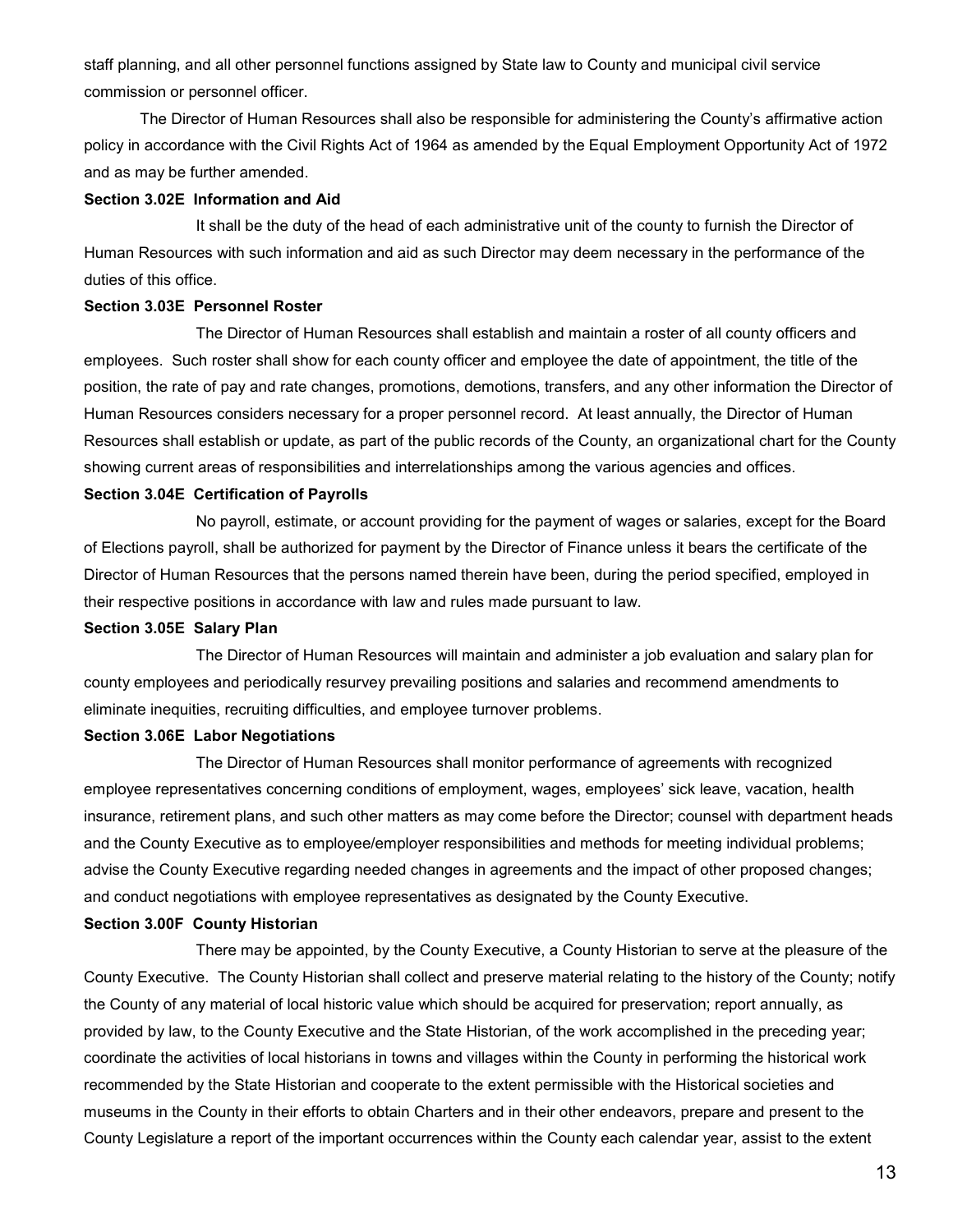staff planning, and all other personnel functions assigned by State law to County and municipal civil service commission or personnel officer.

The Director of Human Resources shall also be responsible for administering the County's affirmative action policy in accordance with the Civil Rights Act of 1964 as amended by the Equal Employment Opportunity Act of 1972 and as may be further amended.

#### **Section 3.02E Information and Aid**

It shall be the duty of the head of each administrative unit of the county to furnish the Director of Human Resources with such information and aid as such Director may deem necessary in the performance of the duties of this office.

#### **Section 3.03E Personnel Roster**

The Director of Human Resources shall establish and maintain a roster of all county officers and employees. Such roster shall show for each county officer and employee the date of appointment, the title of the position, the rate of pay and rate changes, promotions, demotions, transfers, and any other information the Director of Human Resources considers necessary for a proper personnel record. At least annually, the Director of Human Resources shall establish or update, as part of the public records of the County, an organizational chart for the County showing current areas of responsibilities and interrelationships among the various agencies and offices.

## **Section 3.04E Certification of Payrolls**

No payroll, estimate, or account providing for the payment of wages or salaries, except for the Board of Elections payroll, shall be authorized for payment by the Director of Finance unless it bears the certificate of the Director of Human Resources that the persons named therein have been, during the period specified, employed in their respective positions in accordance with law and rules made pursuant to law.

#### **Section 3.05E Salary Plan**

The Director of Human Resources will maintain and administer a job evaluation and salary plan for county employees and periodically resurvey prevailing positions and salaries and recommend amendments to eliminate inequities, recruiting difficulties, and employee turnover problems.

#### **Section 3.06E Labor Negotiations**

The Director of Human Resources shall monitor performance of agreements with recognized employee representatives concerning conditions of employment, wages, employees' sick leave, vacation, health insurance, retirement plans, and such other matters as may come before the Director; counsel with department heads and the County Executive as to employee/employer responsibilities and methods for meeting individual problems; advise the County Executive regarding needed changes in agreements and the impact of other proposed changes; and conduct negotiations with employee representatives as designated by the County Executive.

#### **Section 3.00F County Historian**

There may be appointed, by the County Executive, a County Historian to serve at the pleasure of the County Executive. The County Historian shall collect and preserve material relating to the history of the County; notify the County of any material of local historic value which should be acquired for preservation; report annually, as provided by law, to the County Executive and the State Historian, of the work accomplished in the preceding year; coordinate the activities of local historians in towns and villages within the County in performing the historical work recommended by the State Historian and cooperate to the extent permissible with the Historical societies and museums in the County in their efforts to obtain Charters and in their other endeavors, prepare and present to the County Legislature a report of the important occurrences within the County each calendar year, assist to the extent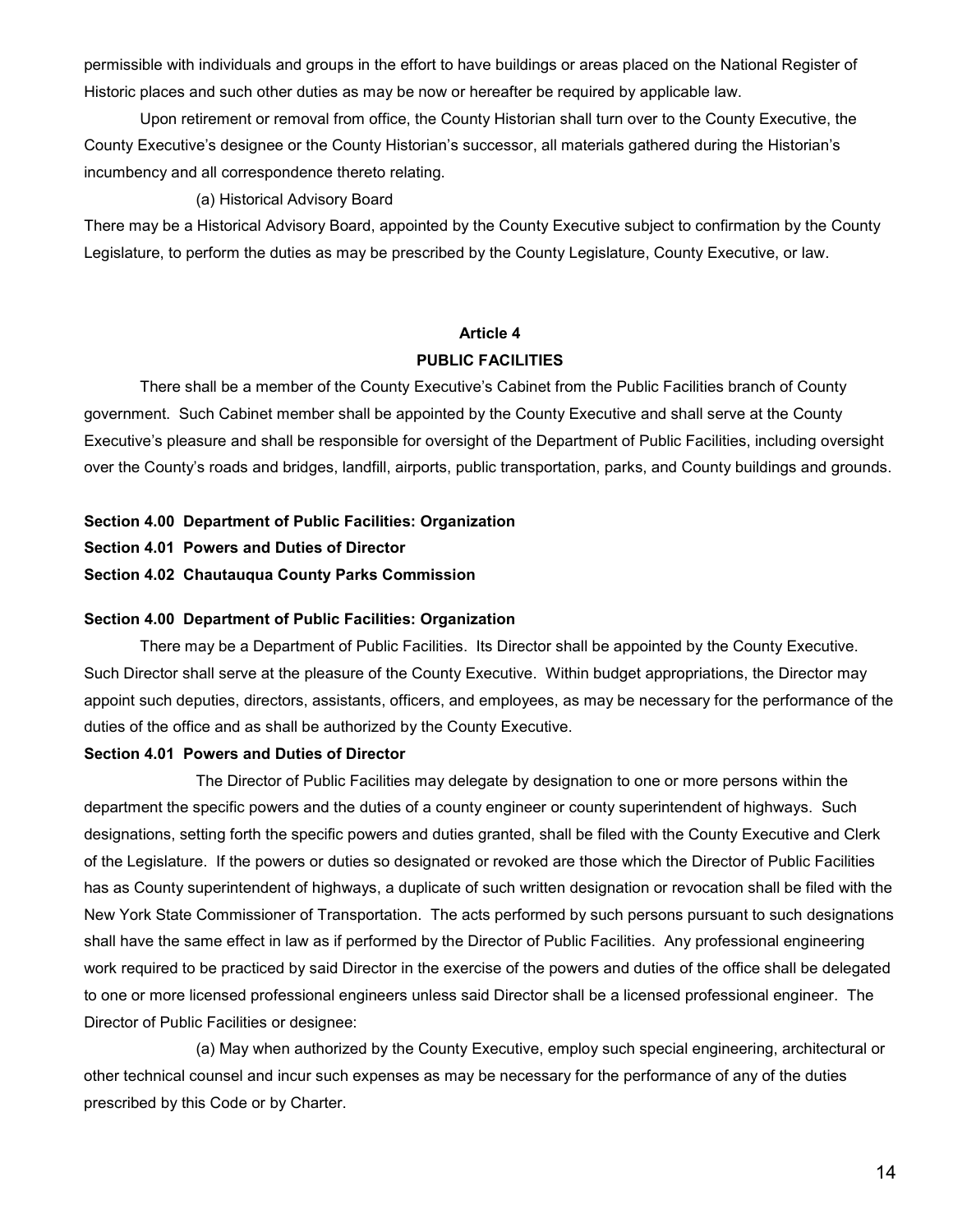permissible with individuals and groups in the effort to have buildings or areas placed on the National Register of Historic places and such other duties as may be now or hereafter be required by applicable law.

Upon retirement or removal from office, the County Historian shall turn over to the County Executive, the County Executive's designee or the County Historian's successor, all materials gathered during the Historian's incumbency and all correspondence thereto relating.

#### (a) Historical Advisory Board

There may be a Historical Advisory Board, appointed by the County Executive subject to confirmation by the County Legislature, to perform the duties as may be prescribed by the County Legislature, County Executive, or law.

## **Article 4 PUBLIC FACILITIES**

There shall be a member of the County Executive's Cabinet from the Public Facilities branch of County government. Such Cabinet member shall be appointed by the County Executive and shall serve at the County Executive's pleasure and shall be responsible for oversight of the Department of Public Facilities, including oversight over the County's roads and bridges, landfill, airports, public transportation, parks, and County buildings and grounds.

**Section 4.00 Department of Public Facilities: Organization**

- **Section 4.01 Powers and Duties of Director**
- **Section 4.02 Chautauqua County Parks Commission**

#### **Section 4.00 Department of Public Facilities: Organization**

There may be a Department of Public Facilities. Its Director shall be appointed by the County Executive. Such Director shall serve at the pleasure of the County Executive. Within budget appropriations, the Director may appoint such deputies, directors, assistants, officers, and employees, as may be necessary for the performance of the duties of the office and as shall be authorized by the County Executive.

#### **Section 4.01 Powers and Duties of Director**

The Director of Public Facilities may delegate by designation to one or more persons within the department the specific powers and the duties of a county engineer or county superintendent of highways. Such designations, setting forth the specific powers and duties granted, shall be filed with the County Executive and Clerk of the Legislature. If the powers or duties so designated or revoked are those which the Director of Public Facilities has as County superintendent of highways, a duplicate of such written designation or revocation shall be filed with the New York State Commissioner of Transportation. The acts performed by such persons pursuant to such designations shall have the same effect in law as if performed by the Director of Public Facilities. Any professional engineering work required to be practiced by said Director in the exercise of the powers and duties of the office shall be delegated to one or more licensed professional engineers unless said Director shall be a licensed professional engineer. The Director of Public Facilities or designee:

(a) May when authorized by the County Executive, employ such special engineering, architectural or other technical counsel and incur such expenses as may be necessary for the performance of any of the duties prescribed by this Code or by Charter.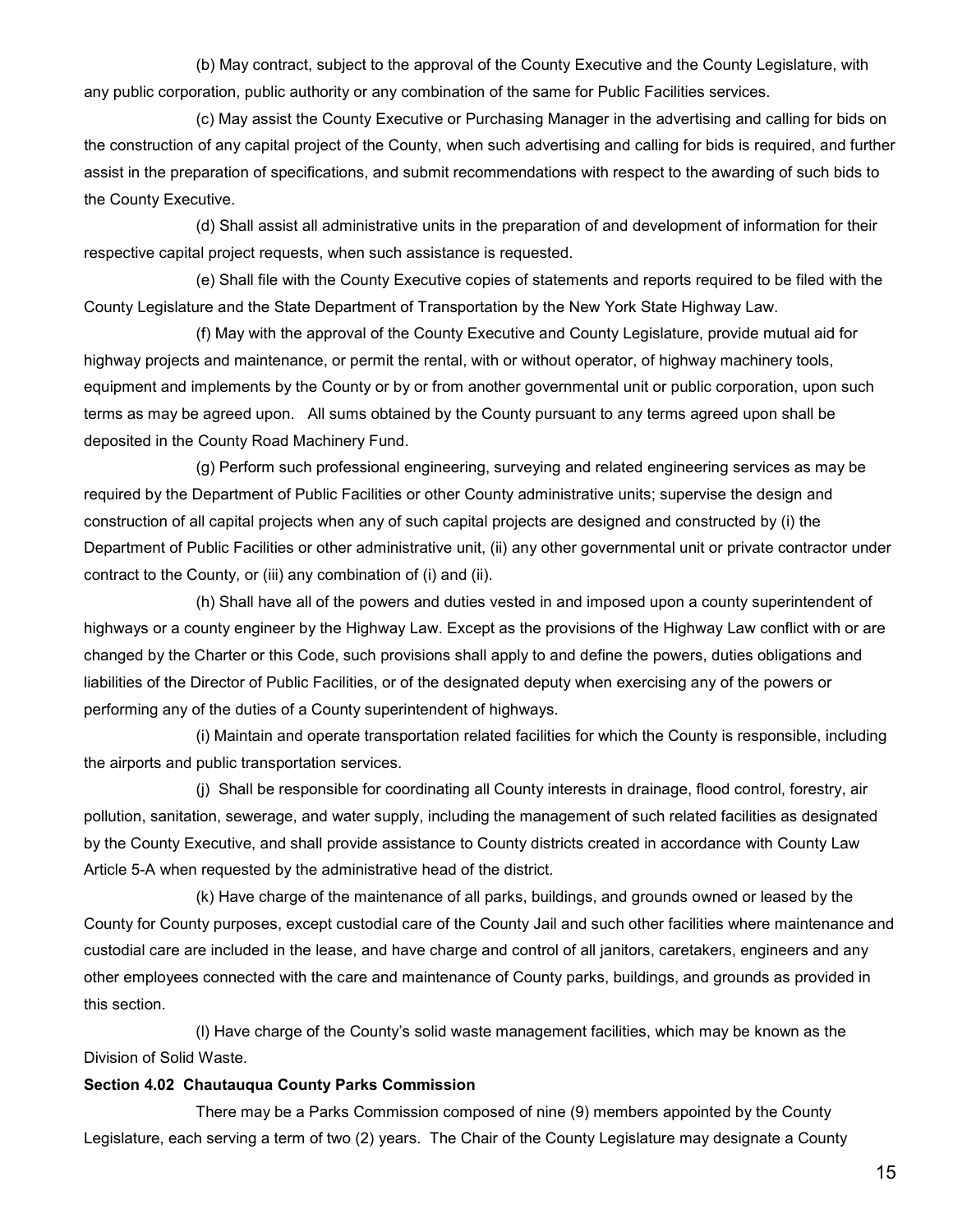(b) May contract, subject to the approval of the County Executive and the County Legislature, with any public corporation, public authority or any combination of the same for Public Facilities services.

(c) May assist the County Executive or Purchasing Manager in the advertising and calling for bids on the construction of any capital project of the County, when such advertising and calling for bids is required, and further assist in the preparation of specifications, and submit recommendations with respect to the awarding of such bids to the County Executive.

(d) Shall assist all administrative units in the preparation of and development of information for their respective capital project requests, when such assistance is requested.

(e) Shall file with the County Executive copies of statements and reports required to be filed with the County Legislature and the State Department of Transportation by the New York State Highway Law.

(f) May with the approval of the County Executive and County Legislature, provide mutual aid for highway projects and maintenance, or permit the rental, with or without operator, of highway machinery tools, equipment and implements by the County or by or from another governmental unit or public corporation, upon such terms as may be agreed upon. All sums obtained by the County pursuant to any terms agreed upon shall be deposited in the County Road Machinery Fund.

(g) Perform such professional engineering, surveying and related engineering services as may be required by the Department of Public Facilities or other County administrative units; supervise the design and construction of all capital projects when any of such capital projects are designed and constructed by (i) the Department of Public Facilities or other administrative unit, (ii) any other governmental unit or private contractor under contract to the County, or (iii) any combination of (i) and (ii).

(h) Shall have all of the powers and duties vested in and imposed upon a county superintendent of highways or a county engineer by the Highway Law. Except as the provisions of the Highway Law conflict with or are changed by the Charter or this Code, such provisions shall apply to and define the powers, duties obligations and liabilities of the Director of Public Facilities, or of the designated deputy when exercising any of the powers or performing any of the duties of a County superintendent of highways.

(i) Maintain and operate transportation related facilities for which the County is responsible, including the airports and public transportation services.

(j) Shall be responsible for coordinating all County interests in drainage, flood control, forestry, air pollution, sanitation, sewerage, and water supply, including the management of such related facilities as designated by the County Executive, and shall provide assistance to County districts created in accordance with County Law Article 5-A when requested by the administrative head of the district.

(k) Have charge of the maintenance of all parks, buildings, and grounds owned or leased by the County for County purposes, except custodial care of the County Jail and such other facilities where maintenance and custodial care are included in the lease, and have charge and control of all janitors, caretakers, engineers and any other employees connected with the care and maintenance of County parks, buildings, and grounds as provided in this section.

(l) Have charge of the County's solid waste management facilities, which may be known as the Division of Solid Waste.

## **Section 4.02 Chautauqua County Parks Commission**

There may be a Parks Commission composed of nine (9) members appointed by the County Legislature, each serving a term of two (2) years. The Chair of the County Legislature may designate a County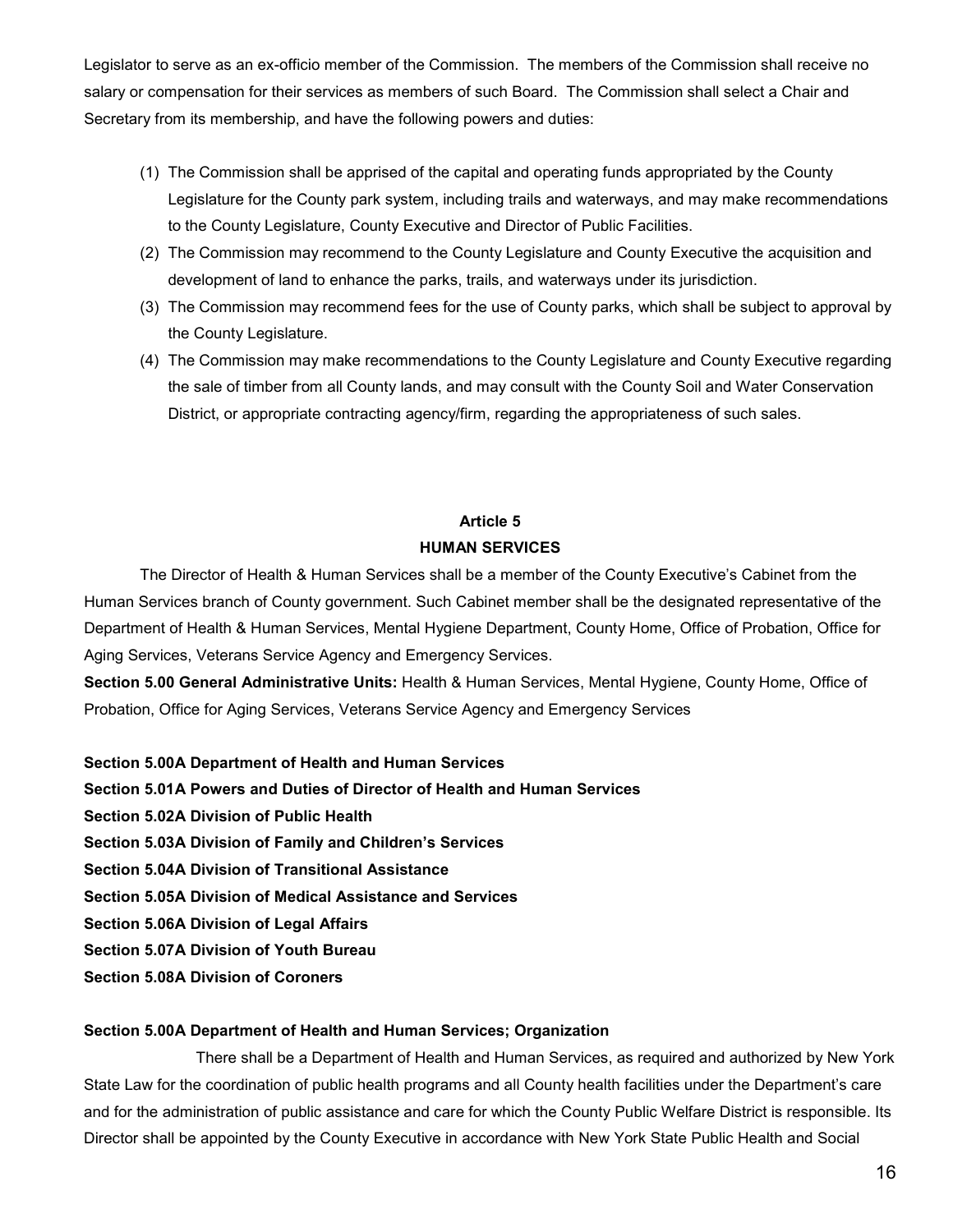Legislator to serve as an ex-officio member of the Commission. The members of the Commission shall receive no salary or compensation for their services as members of such Board. The Commission shall select a Chair and Secretary from its membership, and have the following powers and duties:

- (1) The Commission shall be apprised of the capital and operating funds appropriated by the County Legislature for the County park system, including trails and waterways, and may make recommendations to the County Legislature, County Executive and Director of Public Facilities.
- (2) The Commission may recommend to the County Legislature and County Executive the acquisition and development of land to enhance the parks, trails, and waterways under its jurisdiction.
- (3) The Commission may recommend fees for the use of County parks, which shall be subject to approval by the County Legislature.
- (4) The Commission may make recommendations to the County Legislature and County Executive regarding the sale of timber from all County lands, and may consult with the County Soil and Water Conservation District, or appropriate contracting agency/firm, regarding the appropriateness of such sales.

## **Article 5 HUMAN SERVICES**

The Director of Health & Human Services shall be a member of the County Executive's Cabinet from the Human Services branch of County government. Such Cabinet member shall be the designated representative of the Department of Health & Human Services, Mental Hygiene Department, County Home, Office of Probation, Office for Aging Services, Veterans Service Agency and Emergency Services.

**Section 5.00 General Administrative Units:** Health & Human Services, Mental Hygiene, County Home, Office of Probation, Office for Aging Services, Veterans Service Agency and Emergency Services

**Section 5.00A Department of Health and Human Services** 

- **Section 5.01A Powers and Duties of Director of Health and Human Services**
- **Section 5.02A Division of Public Health**
- **Section 5.03A Division of Family and Children's Services**
- **Section 5.04A Division of Transitional Assistance**
- **Section 5.05A Division of Medical Assistance and Services**
- **Section 5.06A Division of Legal Affairs**
- **Section 5.07A Division of Youth Bureau**
- **Section 5.08A Division of Coroners**

## **Section 5.00A Department of Health and Human Services; Organization**

There shall be a Department of Health and Human Services, as required and authorized by New York State Law for the coordination of public health programs and all County health facilities under the Department's care and for the administration of public assistance and care for which the County Public Welfare District is responsible. Its Director shall be appointed by the County Executive in accordance with New York State Public Health and Social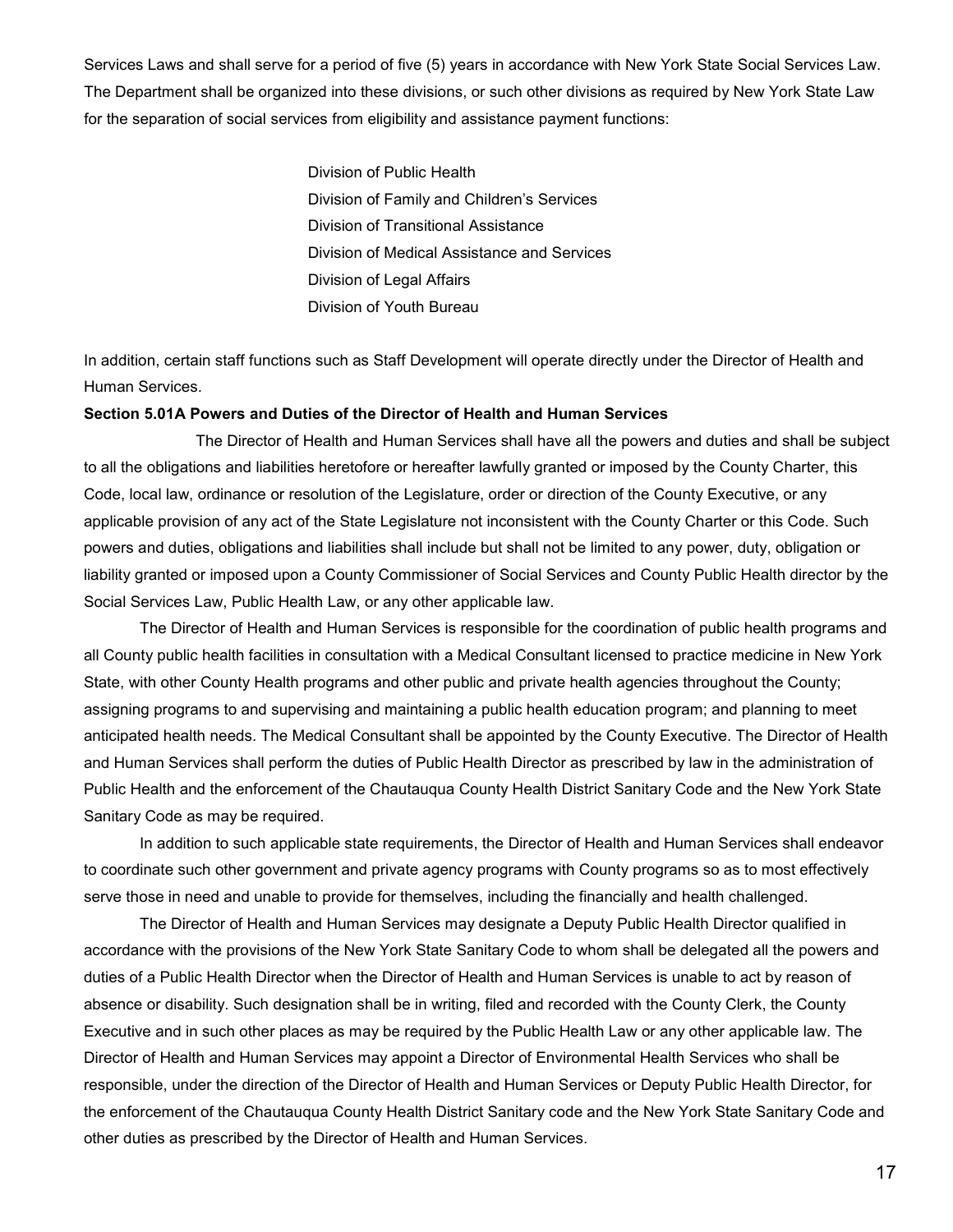Services Laws and shall serve for a period of five (5) years in accordance with New York State Social Services Law. The Department shall be organized into these divisions, or such other divisions as required by New York State Law for the separation of social services from eligibility and assistance payment functions:

> Division of Public Health Division of Family and Children's Services Division of Transitional Assistance Division of Medical Assistance and Services Division of Legal Affairs Division of Youth Bureau

In addition, certain staff functions such as Staff Development will operate directly under the Director of Health and Human Services.

#### **Section 5.01A Powers and Duties of the Director of Health and Human Services**

The Director of Health and Human Services shall have all the powers and duties and shall be subject to all the obligations and liabilities heretofore or hereafter lawfully granted or imposed by the County Charter, this Code, local law, ordinance or resolution of the Legislature, order or direction of the County Executive, or any applicable provision of any act of the State Legislature not inconsistent with the County Charter or this Code. Such powers and duties, obligations and liabilities shall include but shall not be limited to any power, duty, obligation or liability granted or imposed upon a County Commissioner of Social Services and County Public Health director by the Social Services Law, Public Health Law, or any other applicable law.

The Director of Health and Human Services is responsible for the coordination of public health programs and all County public health facilities in consultation with a Medical Consultant licensed to practice medicine in New York State, with other County Health programs and other public and private health agencies throughout the County; assigning programs to and supervising and maintaining a public health education program; and planning to meet anticipated health needs. The Medical Consultant shall be appointed by the County Executive. The Director of Health and Human Services shall perform the duties of Public Health Director as prescribed by law in the administration of Public Health and the enforcement of the Chautauqua County Health District Sanitary Code and the New York State Sanitary Code as may be required.

In addition to such applicable state requirements, the Director of Health and Human Services shall endeavor to coordinate such other government and private agency programs with County programs so as to most effectively serve those in need and unable to provide for themselves, including the financially and health challenged.

The Director of Health and Human Services may designate a Deputy Public Health Director qualified in accordance with the provisions of the New York State Sanitary Code to whom shall be delegated all the powers and duties of a Public Health Director when the Director of Health and Human Services is unable to act by reason of absence or disability. Such designation shall be in writing, filed and recorded with the County Clerk, the County Executive and in such other places as may be required by the Public Health Law or any other applicable law. The Director of Health and Human Services may appoint a Director of Environmental Health Services who shall be responsible, under the direction of the Director of Health and Human Services or Deputy Public Health Director, for the enforcement of the Chautauqua County Health District Sanitary code and the New York State Sanitary Code and other duties as prescribed by the Director of Health and Human Services.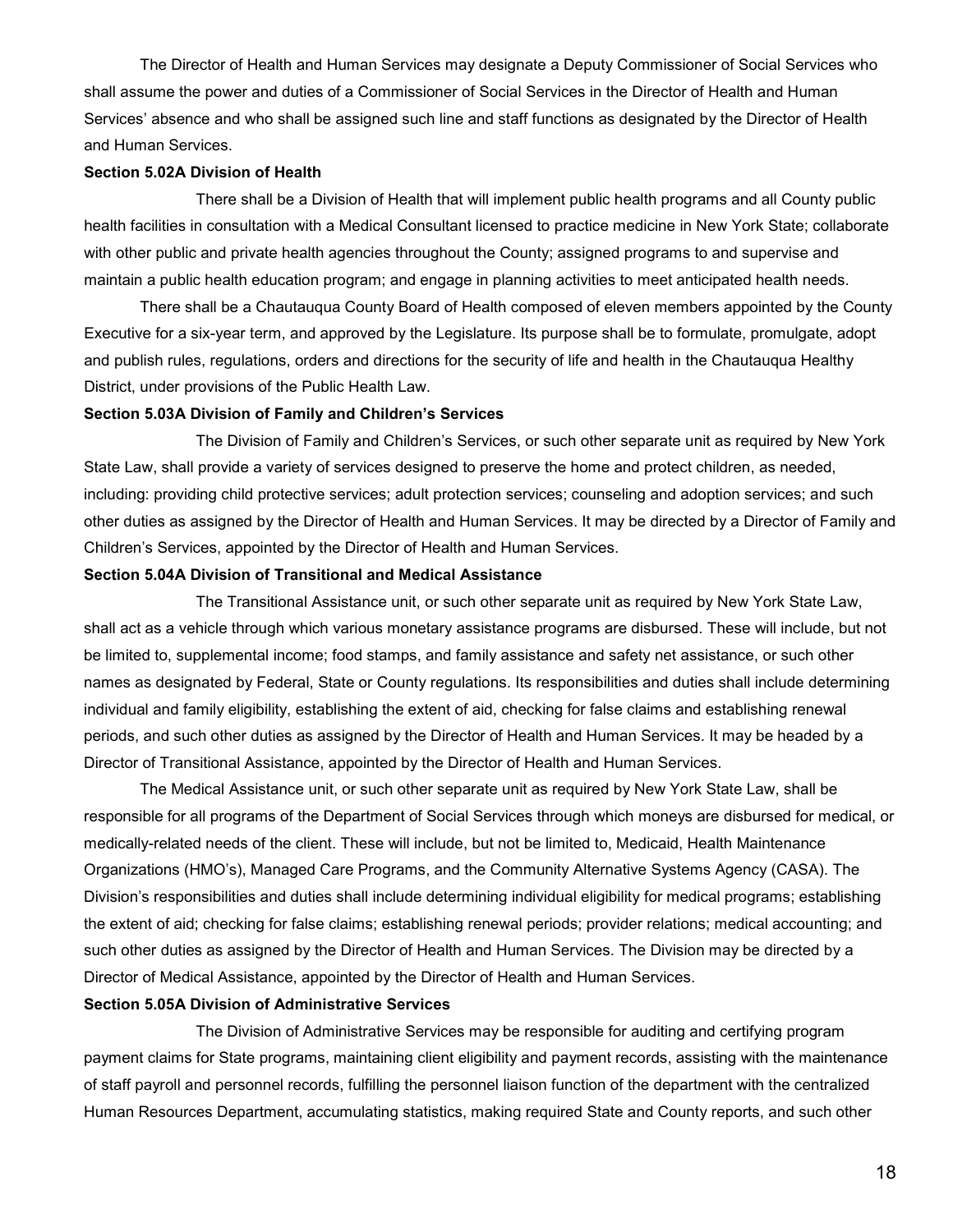The Director of Health and Human Services may designate a Deputy Commissioner of Social Services who shall assume the power and duties of a Commissioner of Social Services in the Director of Health and Human Services' absence and who shall be assigned such line and staff functions as designated by the Director of Health and Human Services.

#### **Section 5.02A Division of Health**

There shall be a Division of Health that will implement public health programs and all County public health facilities in consultation with a Medical Consultant licensed to practice medicine in New York State; collaborate with other public and private health agencies throughout the County; assigned programs to and supervise and maintain a public health education program; and engage in planning activities to meet anticipated health needs.

There shall be a Chautauqua County Board of Health composed of eleven members appointed by the County Executive for a six-year term, and approved by the Legislature. Its purpose shall be to formulate, promulgate, adopt and publish rules, regulations, orders and directions for the security of life and health in the Chautauqua Healthy District, under provisions of the Public Health Law.

#### **Section 5.03A Division of Family and Children's Services**

The Division of Family and Children's Services, or such other separate unit as required by New York State Law, shall provide a variety of services designed to preserve the home and protect children, as needed, including: providing child protective services; adult protection services; counseling and adoption services; and such other duties as assigned by the Director of Health and Human Services. It may be directed by a Director of Family and Children's Services, appointed by the Director of Health and Human Services.

#### **Section 5.04A Division of Transitional and Medical Assistance**

The Transitional Assistance unit, or such other separate unit as required by New York State Law, shall act as a vehicle through which various monetary assistance programs are disbursed. These will include, but not be limited to, supplemental income; food stamps, and family assistance and safety net assistance, or such other names as designated by Federal, State or County regulations. Its responsibilities and duties shall include determining individual and family eligibility, establishing the extent of aid, checking for false claims and establishing renewal periods, and such other duties as assigned by the Director of Health and Human Services. It may be headed by a Director of Transitional Assistance, appointed by the Director of Health and Human Services.

The Medical Assistance unit, or such other separate unit as required by New York State Law, shall be responsible for all programs of the Department of Social Services through which moneys are disbursed for medical, or medically-related needs of the client. These will include, but not be limited to, Medicaid, Health Maintenance Organizations (HMO's), Managed Care Programs, and the Community Alternative Systems Agency (CASA). The Division's responsibilities and duties shall include determining individual eligibility for medical programs; establishing the extent of aid; checking for false claims; establishing renewal periods; provider relations; medical accounting; and such other duties as assigned by the Director of Health and Human Services. The Division may be directed by a Director of Medical Assistance, appointed by the Director of Health and Human Services.

## **Section 5.05A Division of Administrative Services**

The Division of Administrative Services may be responsible for auditing and certifying program payment claims for State programs, maintaining client eligibility and payment records, assisting with the maintenance of staff payroll and personnel records, fulfilling the personnel liaison function of the department with the centralized Human Resources Department, accumulating statistics, making required State and County reports, and such other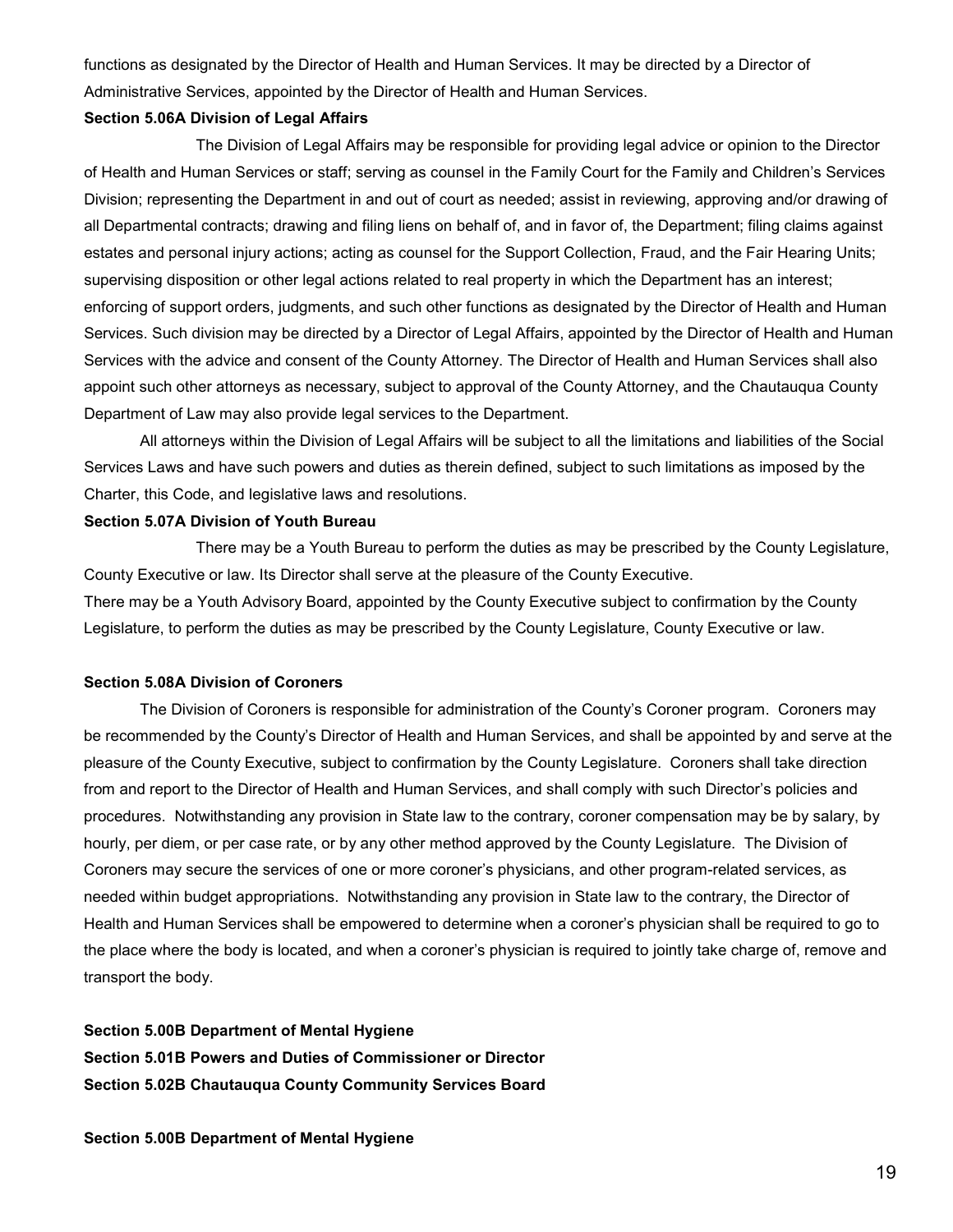functions as designated by the Director of Health and Human Services. It may be directed by a Director of Administrative Services, appointed by the Director of Health and Human Services.

#### **Section 5.06A Division of Legal Affairs**

The Division of Legal Affairs may be responsible for providing legal advice or opinion to the Director of Health and Human Services or staff; serving as counsel in the Family Court for the Family and Children's Services Division; representing the Department in and out of court as needed; assist in reviewing, approving and/or drawing of all Departmental contracts; drawing and filing liens on behalf of, and in favor of, the Department; filing claims against estates and personal injury actions; acting as counsel for the Support Collection, Fraud, and the Fair Hearing Units; supervising disposition or other legal actions related to real property in which the Department has an interest; enforcing of support orders, judgments, and such other functions as designated by the Director of Health and Human Services. Such division may be directed by a Director of Legal Affairs, appointed by the Director of Health and Human Services with the advice and consent of the County Attorney. The Director of Health and Human Services shall also appoint such other attorneys as necessary, subject to approval of the County Attorney, and the Chautauqua County Department of Law may also provide legal services to the Department.

All attorneys within the Division of Legal Affairs will be subject to all the limitations and liabilities of the Social Services Laws and have such powers and duties as therein defined, subject to such limitations as imposed by the Charter, this Code, and legislative laws and resolutions.

#### **Section 5.07A Division of Youth Bureau**

There may be a Youth Bureau to perform the duties as may be prescribed by the County Legislature, County Executive or law. Its Director shall serve at the pleasure of the County Executive. There may be a Youth Advisory Board, appointed by the County Executive subject to confirmation by the County Legislature, to perform the duties as may be prescribed by the County Legislature, County Executive or law.

#### **Section 5.08A Division of Coroners**

The Division of Coroners is responsible for administration of the County's Coroner program. Coroners may be recommended by the County's Director of Health and Human Services, and shall be appointed by and serve at the pleasure of the County Executive, subject to confirmation by the County Legislature. Coroners shall take direction from and report to the Director of Health and Human Services, and shall comply with such Director's policies and procedures. Notwithstanding any provision in State law to the contrary, coroner compensation may be by salary, by hourly, per diem, or per case rate, or by any other method approved by the County Legislature. The Division of Coroners may secure the services of one or more coroner's physicians, and other program-related services, as needed within budget appropriations. Notwithstanding any provision in State law to the contrary, the Director of Health and Human Services shall be empowered to determine when a coroner's physician shall be required to go to the place where the body is located, and when a coroner's physician is required to jointly take charge of, remove and transport the body.

**Section 5.00B Department of Mental Hygiene Section 5.01B Powers and Duties of Commissioner or Director Section 5.02B Chautauqua County Community Services Board** 

**Section 5.00B Department of Mental Hygiene**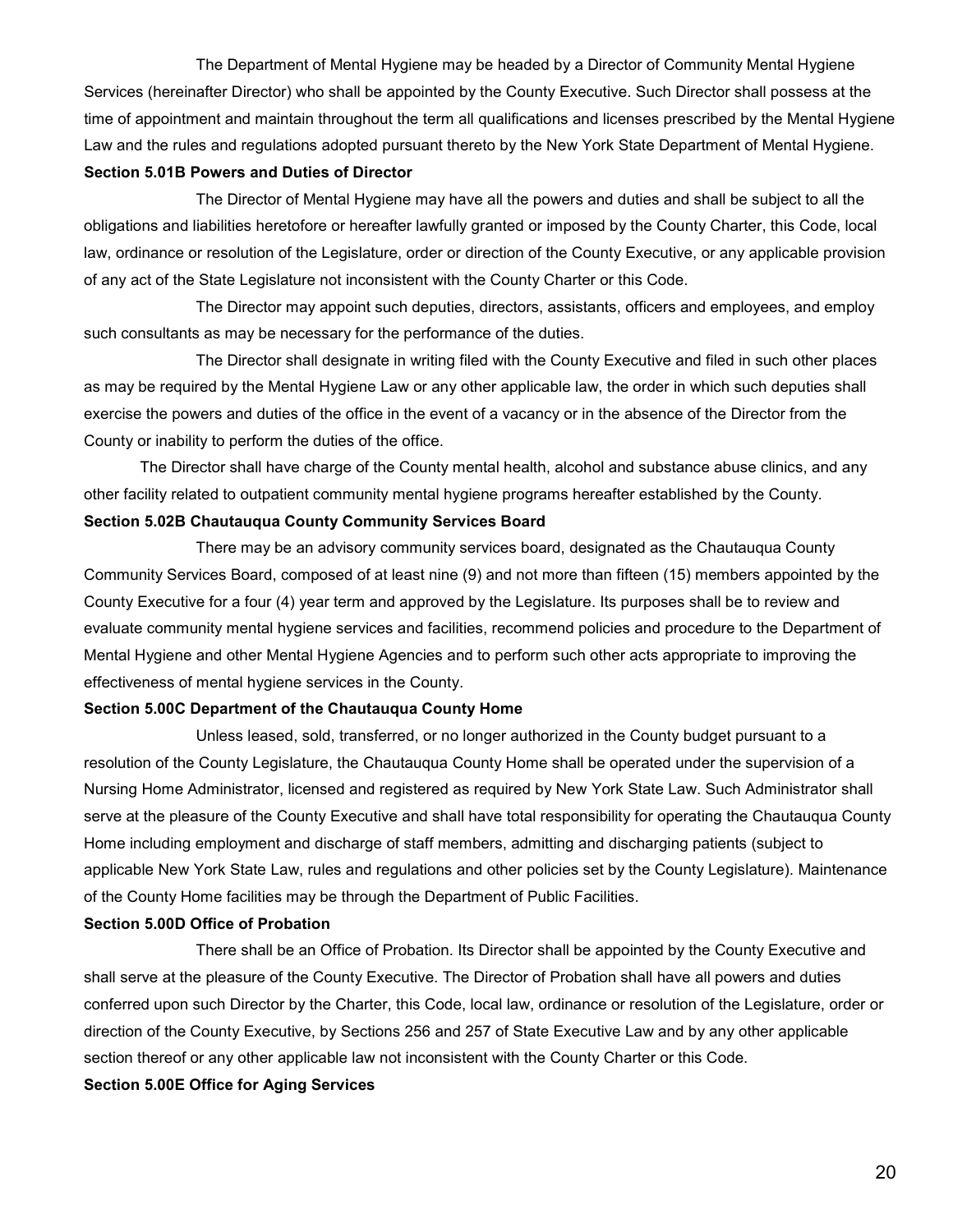The Department of Mental Hygiene may be headed by a Director of Community Mental Hygiene Services (hereinafter Director) who shall be appointed by the County Executive. Such Director shall possess at the time of appointment and maintain throughout the term all qualifications and licenses prescribed by the Mental Hygiene Law and the rules and regulations adopted pursuant thereto by the New York State Department of Mental Hygiene. **Section 5.01B Powers and Duties of Director** 

The Director of Mental Hygiene may have all the powers and duties and shall be subject to all the obligations and liabilities heretofore or hereafter lawfully granted or imposed by the County Charter, this Code, local law, ordinance or resolution of the Legislature, order or direction of the County Executive, or any applicable provision of any act of the State Legislature not inconsistent with the County Charter or this Code.

The Director may appoint such deputies, directors, assistants, officers and employees, and employ such consultants as may be necessary for the performance of the duties.

The Director shall designate in writing filed with the County Executive and filed in such other places as may be required by the Mental Hygiene Law or any other applicable law, the order in which such deputies shall exercise the powers and duties of the office in the event of a vacancy or in the absence of the Director from the County or inability to perform the duties of the office.

The Director shall have charge of the County mental health, alcohol and substance abuse clinics, and any other facility related to outpatient community mental hygiene programs hereafter established by the County. **Section 5.02B Chautauqua County Community Services Board** 

There may be an advisory community services board, designated as the Chautauqua County Community Services Board, composed of at least nine (9) and not more than fifteen (15) members appointed by the County Executive for a four (4) year term and approved by the Legislature. Its purposes shall be to review and evaluate community mental hygiene services and facilities, recommend policies and procedure to the Department of Mental Hygiene and other Mental Hygiene Agencies and to perform such other acts appropriate to improving the effectiveness of mental hygiene services in the County.

#### **Section 5.00C Department of the Chautauqua County Home**

Unless leased, sold, transferred, or no longer authorized in the County budget pursuant to a resolution of the County Legislature, the Chautauqua County Home shall be operated under the supervision of a Nursing Home Administrator, licensed and registered as required by New York State Law. Such Administrator shall serve at the pleasure of the County Executive and shall have total responsibility for operating the Chautauqua County Home including employment and discharge of staff members, admitting and discharging patients (subject to applicable New York State Law, rules and regulations and other policies set by the County Legislature). Maintenance of the County Home facilities may be through the Department of Public Facilities.

#### **Section 5.00D Office of Probation**

There shall be an Office of Probation. Its Director shall be appointed by the County Executive and shall serve at the pleasure of the County Executive. The Director of Probation shall have all powers and duties conferred upon such Director by the Charter, this Code, local law, ordinance or resolution of the Legislature, order or direction of the County Executive, by Sections 256 and 257 of State Executive Law and by any other applicable section thereof or any other applicable law not inconsistent with the County Charter or this Code.

**Section 5.00E Office for Aging Services**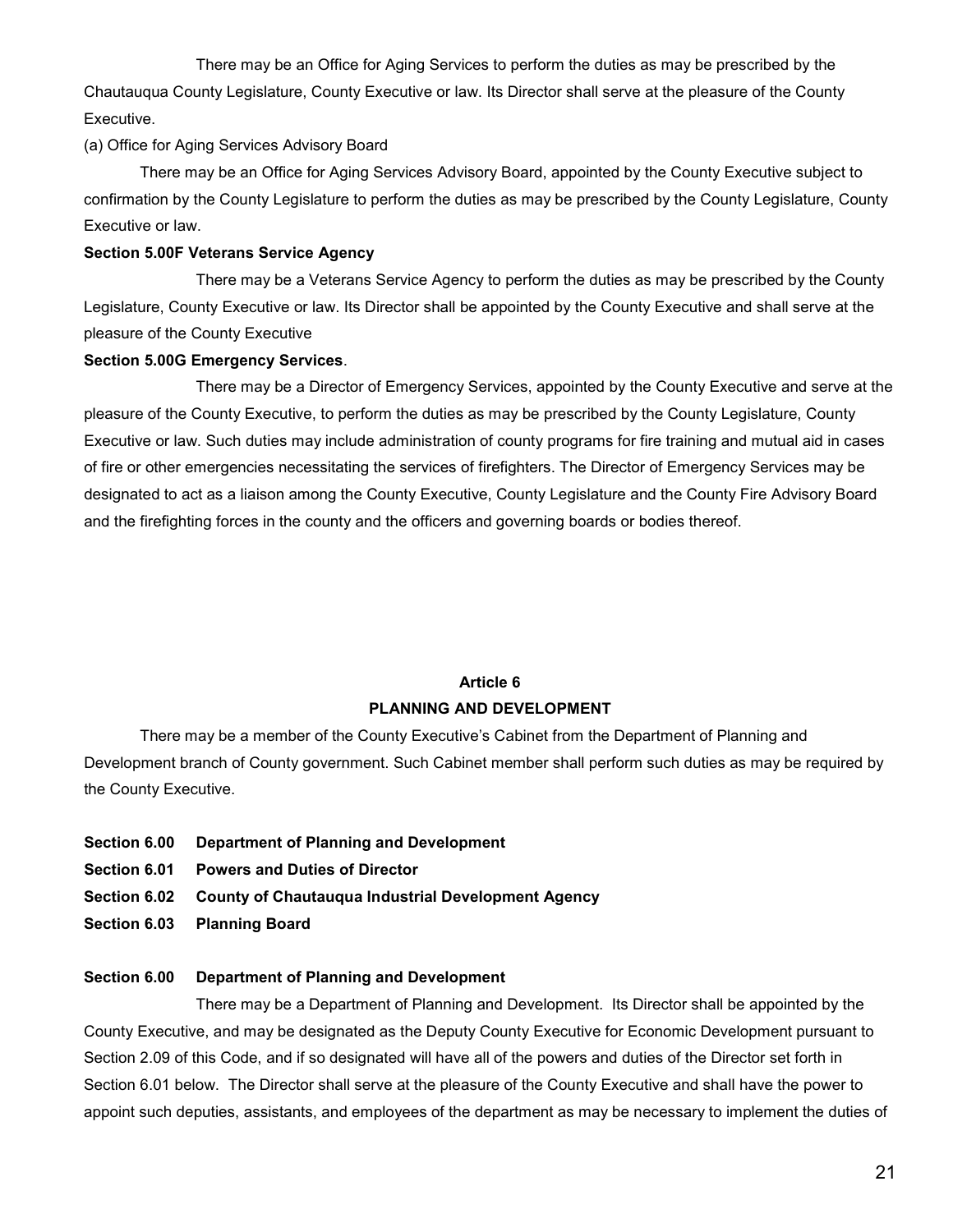There may be an Office for Aging Services to perform the duties as may be prescribed by the Chautauqua County Legislature, County Executive or law. Its Director shall serve at the pleasure of the County Executive.

## (a) Office for Aging Services Advisory Board

There may be an Office for Aging Services Advisory Board, appointed by the County Executive subject to confirmation by the County Legislature to perform the duties as may be prescribed by the County Legislature, County Executive or law.

## **Section 5.00F Veterans Service Agency**

There may be a Veterans Service Agency to perform the duties as may be prescribed by the County Legislature, County Executive or law. Its Director shall be appointed by the County Executive and shall serve at the pleasure of the County Executive

## **Section 5.00G Emergency Services**.

There may be a Director of Emergency Services, appointed by the County Executive and serve at the pleasure of the County Executive, to perform the duties as may be prescribed by the County Legislature, County Executive or law. Such duties may include administration of county programs for fire training and mutual aid in cases of fire or other emergencies necessitating the services of firefighters. The Director of Emergency Services may be designated to act as a liaison among the County Executive, County Legislature and the County Fire Advisory Board and the firefighting forces in the county and the officers and governing boards or bodies thereof.

## **Article 6**

## **PLANNING AND DEVELOPMENT**

There may be a member of the County Executive's Cabinet from the Department of Planning and Development branch of County government. Such Cabinet member shall perform such duties as may be required by the County Executive.

- **Section 6.00 Department of Planning and Development**
- **Section 6.01 Powers and Duties of Director**
- **Section 6.02 County of Chautauqua Industrial Development Agency**
- **Section 6.03 Planning Board**

## **Section 6.00 Department of Planning and Development**

There may be a Department of Planning and Development. Its Director shall be appointed by the County Executive, and may be designated as the Deputy County Executive for Economic Development pursuant to Section 2.09 of this Code, and if so designated will have all of the powers and duties of the Director set forth in Section 6.01 below. The Director shall serve at the pleasure of the County Executive and shall have the power to appoint such deputies, assistants, and employees of the department as may be necessary to implement the duties of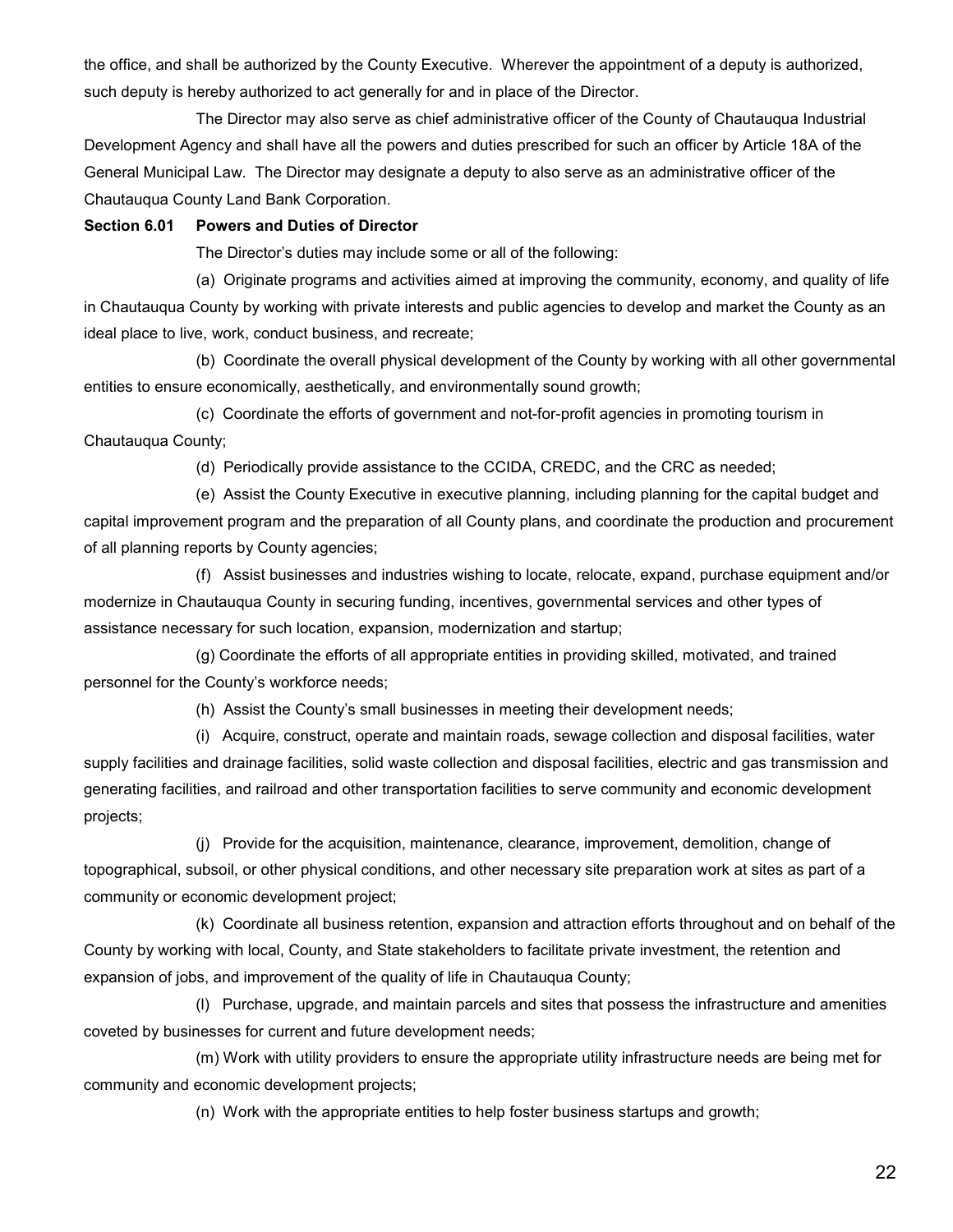the office, and shall be authorized by the County Executive. Wherever the appointment of a deputy is authorized, such deputy is hereby authorized to act generally for and in place of the Director.

The Director may also serve as chief administrative officer of the County of Chautauqua Industrial Development Agency and shall have all the powers and duties prescribed for such an officer by Article 18A of the General Municipal Law. The Director may designate a deputy to also serve as an administrative officer of the Chautauqua County Land Bank Corporation.

#### **Section 6.01 Powers and Duties of Director**

The Director's duties may include some or all of the following:

(a) Originate programs and activities aimed at improving the community, economy, and quality of life in Chautauqua County by working with private interests and public agencies to develop and market the County as an ideal place to live, work, conduct business, and recreate;

(b) Coordinate the overall physical development of the County by working with all other governmental entities to ensure economically, aesthetically, and environmentally sound growth;

(c) Coordinate the efforts of government and not-for-profit agencies in promoting tourism in Chautauqua County;

(d) Periodically provide assistance to the CCIDA, CREDC, and the CRC as needed;

(e) Assist the County Executive in executive planning, including planning for the capital budget and capital improvement program and the preparation of all County plans, and coordinate the production and procurement of all planning reports by County agencies;

(f) Assist businesses and industries wishing to locate, relocate, expand, purchase equipment and/or modernize in Chautauqua County in securing funding, incentives, governmental services and other types of assistance necessary for such location, expansion, modernization and startup;

(g) Coordinate the efforts of all appropriate entities in providing skilled, motivated, and trained personnel for the County's workforce needs;

(h) Assist the County's small businesses in meeting their development needs;

(i) Acquire, construct, operate and maintain roads, sewage collection and disposal facilities, water supply facilities and drainage facilities, solid waste collection and disposal facilities, electric and gas transmission and generating facilities, and railroad and other transportation facilities to serve community and economic development projects;

(j) Provide for the acquisition, maintenance, clearance, improvement, demolition, change of topographical, subsoil, or other physical conditions, and other necessary site preparation work at sites as part of a community or economic development project;

(k) Coordinate all business retention, expansion and attraction efforts throughout and on behalf of the County by working with local, County, and State stakeholders to facilitate private investment, the retention and expansion of jobs, and improvement of the quality of life in Chautauqua County;

(l) Purchase, upgrade, and maintain parcels and sites that possess the infrastructure and amenities coveted by businesses for current and future development needs;

(m) Work with utility providers to ensure the appropriate utility infrastructure needs are being met for community and economic development projects;

(n) Work with the appropriate entities to help foster business startups and growth;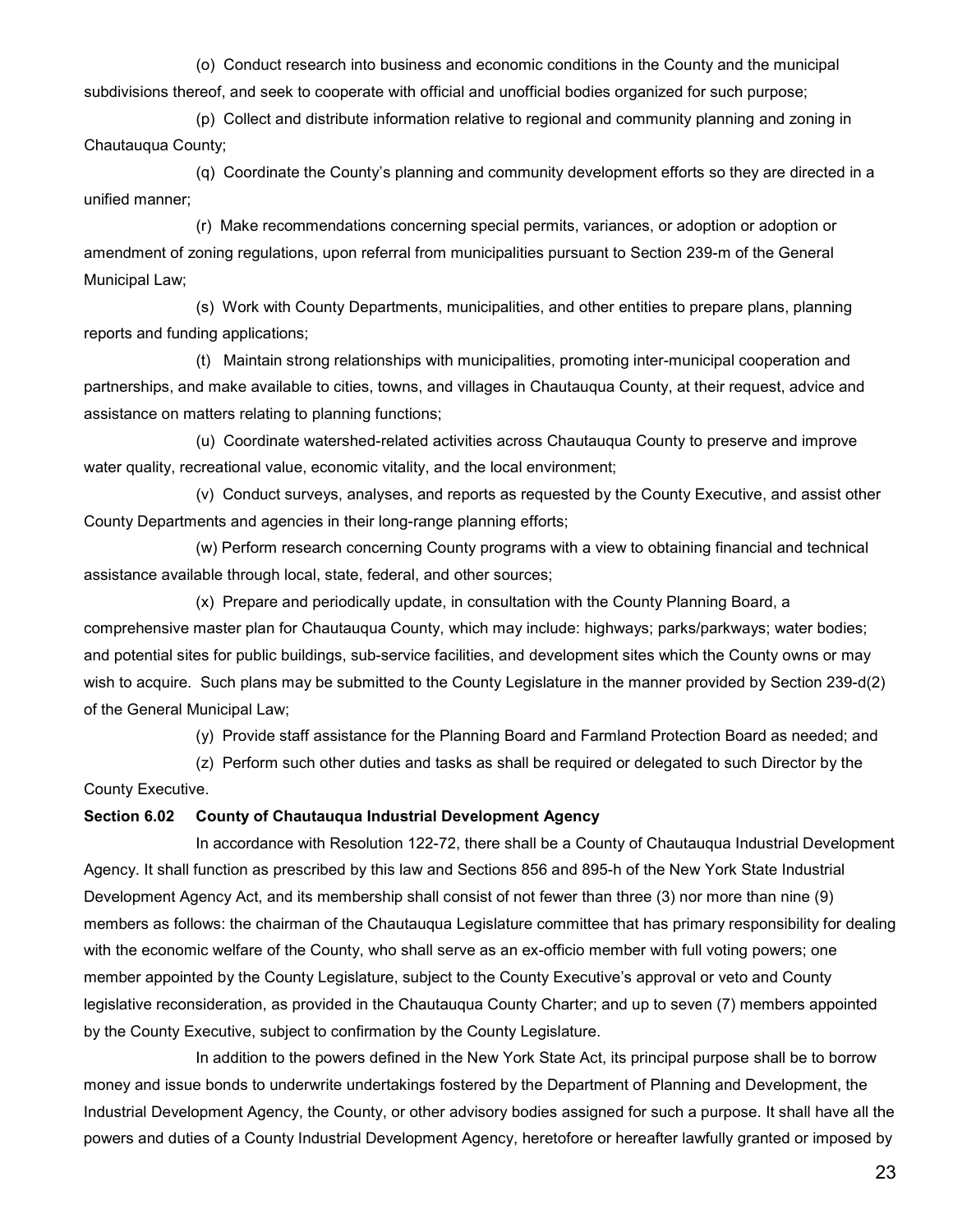(o) Conduct research into business and economic conditions in the County and the municipal subdivisions thereof, and seek to cooperate with official and unofficial bodies organized for such purpose;

(p) Collect and distribute information relative to regional and community planning and zoning in Chautauqua County;

(q) Coordinate the County's planning and community development efforts so they are directed in a unified manner;

(r) Make recommendations concerning special permits, variances, or adoption or adoption or amendment of zoning regulations, upon referral from municipalities pursuant to Section 239-m of the General Municipal Law;

(s) Work with County Departments, municipalities, and other entities to prepare plans, planning reports and funding applications;

(t) Maintain strong relationships with municipalities, promoting inter-municipal cooperation and partnerships, and make available to cities, towns, and villages in Chautauqua County, at their request, advice and assistance on matters relating to planning functions;

(u) Coordinate watershed-related activities across Chautauqua County to preserve and improve water quality, recreational value, economic vitality, and the local environment;

(v) Conduct surveys, analyses, and reports as requested by the County Executive, and assist other County Departments and agencies in their long-range planning efforts;

(w) Perform research concerning County programs with a view to obtaining financial and technical assistance available through local, state, federal, and other sources;

(x) Prepare and periodically update, in consultation with the County Planning Board, a comprehensive master plan for Chautauqua County, which may include: highways; parks/parkways; water bodies; and potential sites for public buildings, sub-service facilities, and development sites which the County owns or may wish to acquire. Such plans may be submitted to the County Legislature in the manner provided by Section 239-d(2) of the General Municipal Law;

(y) Provide staff assistance for the Planning Board and Farmland Protection Board as needed; and

(z) Perform such other duties and tasks as shall be required or delegated to such Director by the County Executive.

#### **Section 6.02 County of Chautauqua Industrial Development Agency**

In accordance with Resolution 122-72, there shall be a County of Chautauqua Industrial Development Agency. It shall function as prescribed by this law and Sections 856 and 895-h of the New York State Industrial Development Agency Act, and its membership shall consist of not fewer than three (3) nor more than nine (9) members as follows: the chairman of the Chautauqua Legislature committee that has primary responsibility for dealing with the economic welfare of the County, who shall serve as an ex-officio member with full voting powers; one member appointed by the County Legislature, subject to the County Executive's approval or veto and County legislative reconsideration, as provided in the Chautauqua County Charter; and up to seven (7) members appointed by the County Executive, subject to confirmation by the County Legislature.

In addition to the powers defined in the New York State Act, its principal purpose shall be to borrow money and issue bonds to underwrite undertakings fostered by the Department of Planning and Development, the Industrial Development Agency, the County, or other advisory bodies assigned for such a purpose. It shall have all the powers and duties of a County Industrial Development Agency, heretofore or hereafter lawfully granted or imposed by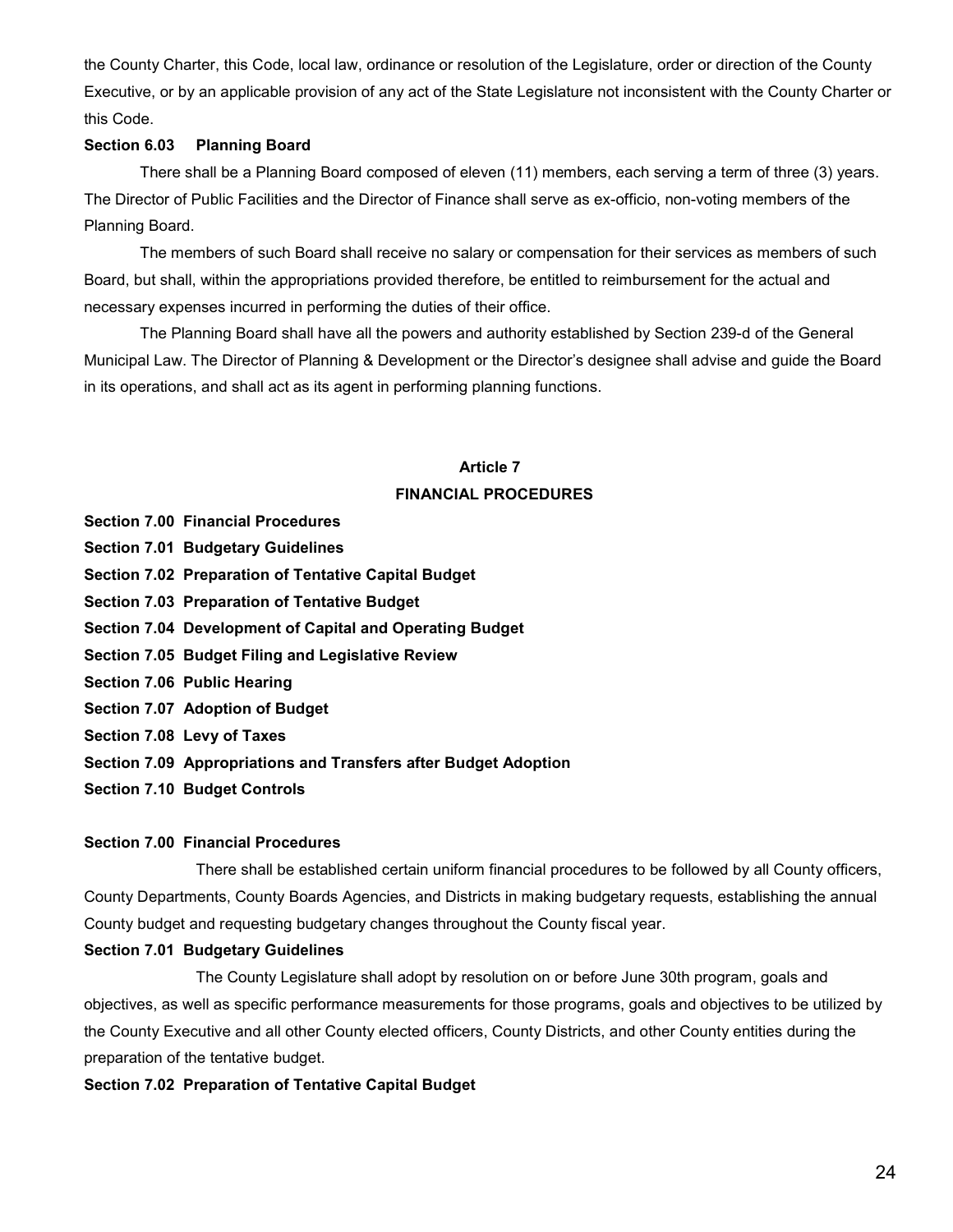the County Charter, this Code, local law, ordinance or resolution of the Legislature, order or direction of the County Executive, or by an applicable provision of any act of the State Legislature not inconsistent with the County Charter or this Code.

## **Section 6.03 Planning Board**

There shall be a Planning Board composed of eleven (11) members, each serving a term of three (3) years. The Director of Public Facilities and the Director of Finance shall serve as ex-officio, non-voting members of the Planning Board.

The members of such Board shall receive no salary or compensation for their services as members of such Board, but shall, within the appropriations provided therefore, be entitled to reimbursement for the actual and necessary expenses incurred in performing the duties of their office.

The Planning Board shall have all the powers and authority established by Section 239-d of the General Municipal Law. The Director of Planning & Development or the Director's designee shall advise and guide the Board in its operations, and shall act as its agent in performing planning functions.

## **Article 7 FINANCIAL PROCEDURES**

- **Section 7.00 Financial Procedures**
- **Section 7.01 Budgetary Guidelines**
- **Section 7.02 Preparation of Tentative Capital Budget**
- **Section 7.03 Preparation of Tentative Budget**
- **Section 7.04 Development of Capital and Operating Budget**
- **Section 7.05 Budget Filing and Legislative Review**
- **Section 7.06 Public Hearing**
- **Section 7.07 Adoption of Budget**
- **Section 7.08 Levy of Taxes**
- **Section 7.09 Appropriations and Transfers after Budget Adoption**
- **Section 7.10 Budget Controls**

#### **Section 7.00 Financial Procedures**

There shall be established certain uniform financial procedures to be followed by all County officers, County Departments, County Boards Agencies, and Districts in making budgetary requests, establishing the annual County budget and requesting budgetary changes throughout the County fiscal year.

#### **Section 7.01 Budgetary Guidelines**

The County Legislature shall adopt by resolution on or before June 30th program, goals and objectives, as well as specific performance measurements for those programs, goals and objectives to be utilized by the County Executive and all other County elected officers, County Districts, and other County entities during the preparation of the tentative budget.

#### **Section 7.02 Preparation of Tentative Capital Budget**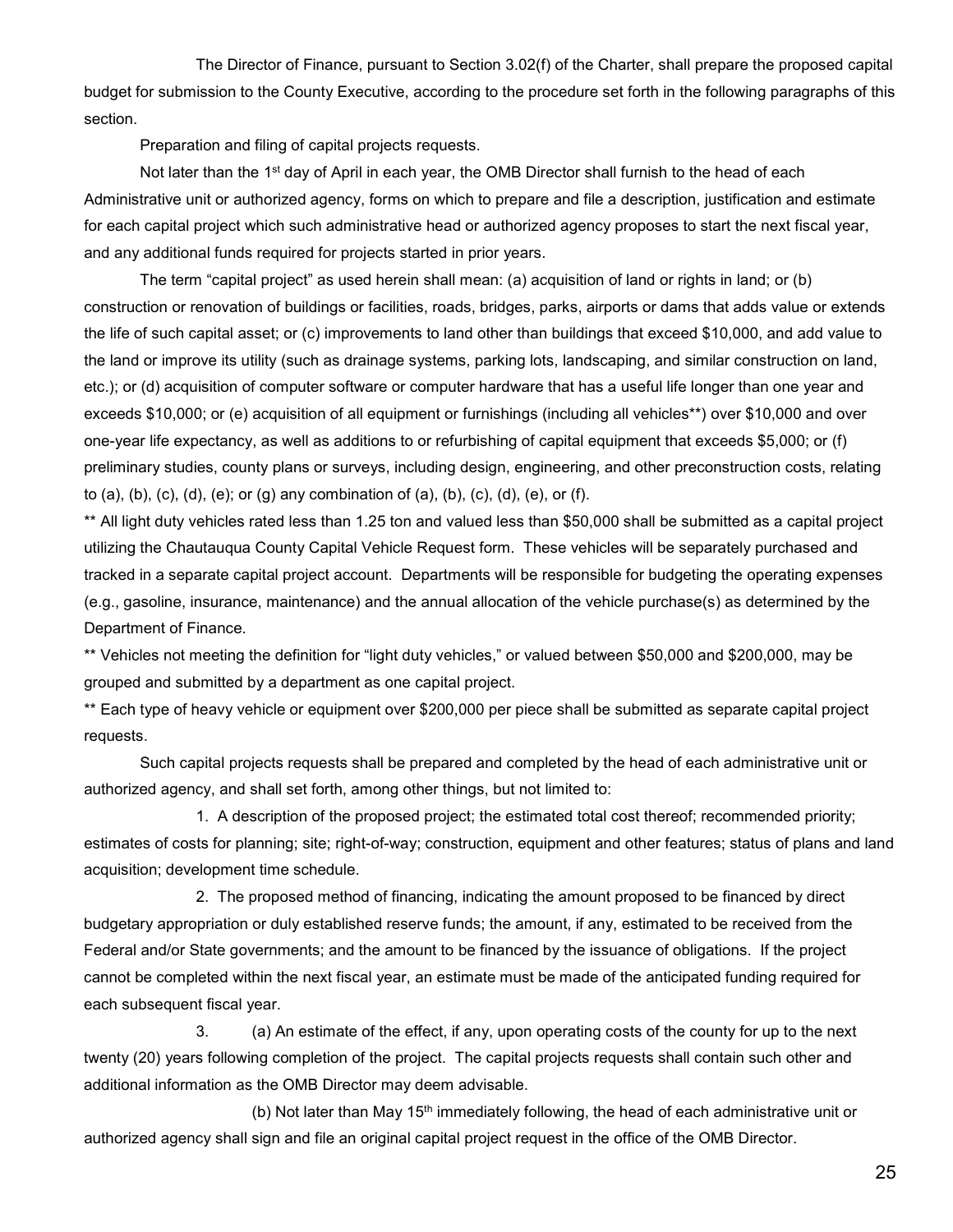The Director of Finance, pursuant to Section 3.02(f) of the Charter, shall prepare the proposed capital budget for submission to the County Executive, according to the procedure set forth in the following paragraphs of this section.

Preparation and filing of capital projects requests.

Not later than the 1<sup>st</sup> day of April in each year, the OMB Director shall furnish to the head of each Administrative unit or authorized agency, forms on which to prepare and file a description, justification and estimate for each capital project which such administrative head or authorized agency proposes to start the next fiscal year, and any additional funds required for projects started in prior years.

The term "capital project" as used herein shall mean: (a) acquisition of land or rights in land; or (b) construction or renovation of buildings or facilities, roads, bridges, parks, airports or dams that adds value or extends the life of such capital asset; or (c) improvements to land other than buildings that exceed \$10,000, and add value to the land or improve its utility (such as drainage systems, parking lots, landscaping, and similar construction on land, etc.); or (d) acquisition of computer software or computer hardware that has a useful life longer than one year and exceeds \$10,000; or (e) acquisition of all equipment or furnishings (including all vehicles\*\*) over \$10,000 and over one-year life expectancy, as well as additions to or refurbishing of capital equipment that exceeds \$5,000; or (f) preliminary studies, county plans or surveys, including design, engineering, and other preconstruction costs, relating to (a), (b), (c), (d), (e); or (g) any combination of (a), (b), (c), (d), (e), or (f).

\*\* All light duty vehicles rated less than 1.25 ton and valued less than \$50,000 shall be submitted as a capital project utilizing the Chautauqua County Capital Vehicle Request form. These vehicles will be separately purchased and tracked in a separate capital project account. Departments will be responsible for budgeting the operating expenses (e.g., gasoline, insurance, maintenance) and the annual allocation of the vehicle purchase(s) as determined by the Department of Finance.

\*\* Vehicles not meeting the definition for "light duty vehicles," or valued between \$50,000 and \$200,000, may be grouped and submitted by a department as one capital project.

\*\* Each type of heavy vehicle or equipment over \$200,000 per piece shall be submitted as separate capital project requests.

Such capital projects requests shall be prepared and completed by the head of each administrative unit or authorized agency, and shall set forth, among other things, but not limited to:

1. A description of the proposed project; the estimated total cost thereof; recommended priority; estimates of costs for planning; site; right-of-way; construction, equipment and other features; status of plans and land acquisition; development time schedule.

2. The proposed method of financing, indicating the amount proposed to be financed by direct budgetary appropriation or duly established reserve funds; the amount, if any, estimated to be received from the Federal and/or State governments; and the amount to be financed by the issuance of obligations. If the project cannot be completed within the next fiscal year, an estimate must be made of the anticipated funding required for each subsequent fiscal year.

3. (a) An estimate of the effect, if any, upon operating costs of the county for up to the next twenty (20) years following completion of the project. The capital projects requests shall contain such other and additional information as the OMB Director may deem advisable.

(b) Not later than May 15<sup>th</sup> immediately following, the head of each administrative unit or authorized agency shall sign and file an original capital project request in the office of the OMB Director.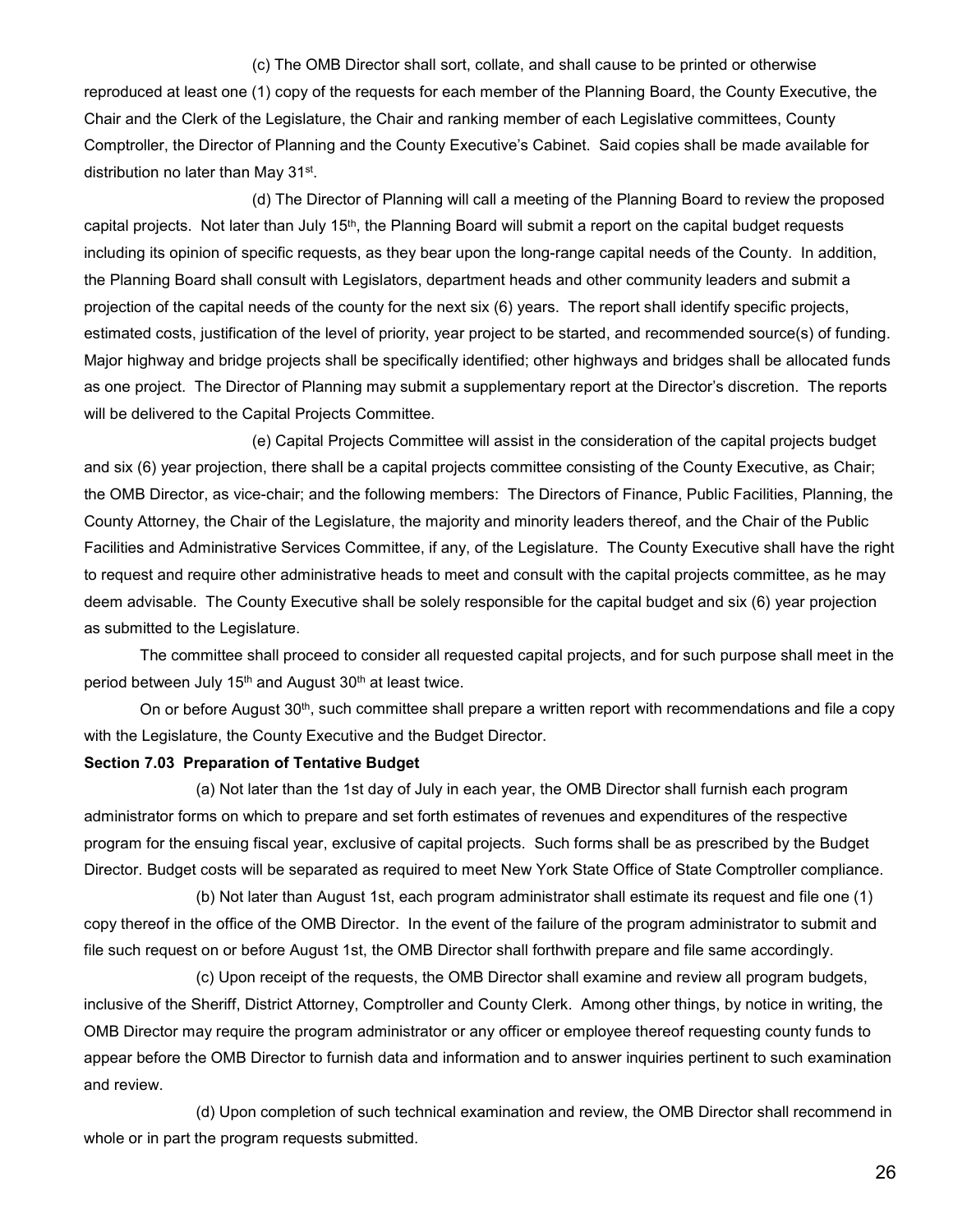#### (c) The OMB Director shall sort, collate, and shall cause to be printed or otherwise

reproduced at least one (1) copy of the requests for each member of the Planning Board, the County Executive, the Chair and the Clerk of the Legislature, the Chair and ranking member of each Legislative committees, County Comptroller, the Director of Planning and the County Executive's Cabinet. Said copies shall be made available for distribution no later than May 31st.

(d) The Director of Planning will call a meeting of the Planning Board to review the proposed capital projects. Not later than July 15<sup>th</sup>, the Planning Board will submit a report on the capital budget requests including its opinion of specific requests, as they bear upon the long-range capital needs of the County. In addition, the Planning Board shall consult with Legislators, department heads and other community leaders and submit a projection of the capital needs of the county for the next six (6) years. The report shall identify specific projects, estimated costs, justification of the level of priority, year project to be started, and recommended source(s) of funding. Major highway and bridge projects shall be specifically identified; other highways and bridges shall be allocated funds as one project. The Director of Planning may submit a supplementary report at the Director's discretion. The reports will be delivered to the Capital Projects Committee.

(e) Capital Projects Committee will assist in the consideration of the capital projects budget and six (6) year projection, there shall be a capital projects committee consisting of the County Executive, as Chair; the OMB Director, as vice-chair; and the following members: The Directors of Finance, Public Facilities, Planning, the County Attorney, the Chair of the Legislature, the majority and minority leaders thereof, and the Chair of the Public Facilities and Administrative Services Committee, if any, of the Legislature. The County Executive shall have the right to request and require other administrative heads to meet and consult with the capital projects committee, as he may deem advisable. The County Executive shall be solely responsible for the capital budget and six (6) year projection as submitted to the Legislature.

The committee shall proceed to consider all requested capital projects, and for such purpose shall meet in the period between July 15<sup>th</sup> and August 30<sup>th</sup> at least twice.

On or before August 30<sup>th</sup>, such committee shall prepare a written report with recommendations and file a copy with the Legislature, the County Executive and the Budget Director.

#### **Section 7.03 Preparation of Tentative Budget**

(a) Not later than the 1st day of July in each year, the OMB Director shall furnish each program administrator forms on which to prepare and set forth estimates of revenues and expenditures of the respective program for the ensuing fiscal year, exclusive of capital projects. Such forms shall be as prescribed by the Budget Director. Budget costs will be separated as required to meet New York State Office of State Comptroller compliance.

(b) Not later than August 1st, each program administrator shall estimate its request and file one (1) copy thereof in the office of the OMB Director. In the event of the failure of the program administrator to submit and file such request on or before August 1st, the OMB Director shall forthwith prepare and file same accordingly.

(c) Upon receipt of the requests, the OMB Director shall examine and review all program budgets, inclusive of the Sheriff, District Attorney, Comptroller and County Clerk. Among other things, by notice in writing, the OMB Director may require the program administrator or any officer or employee thereof requesting county funds to appear before the OMB Director to furnish data and information and to answer inquiries pertinent to such examination and review.

(d) Upon completion of such technical examination and review, the OMB Director shall recommend in whole or in part the program requests submitted.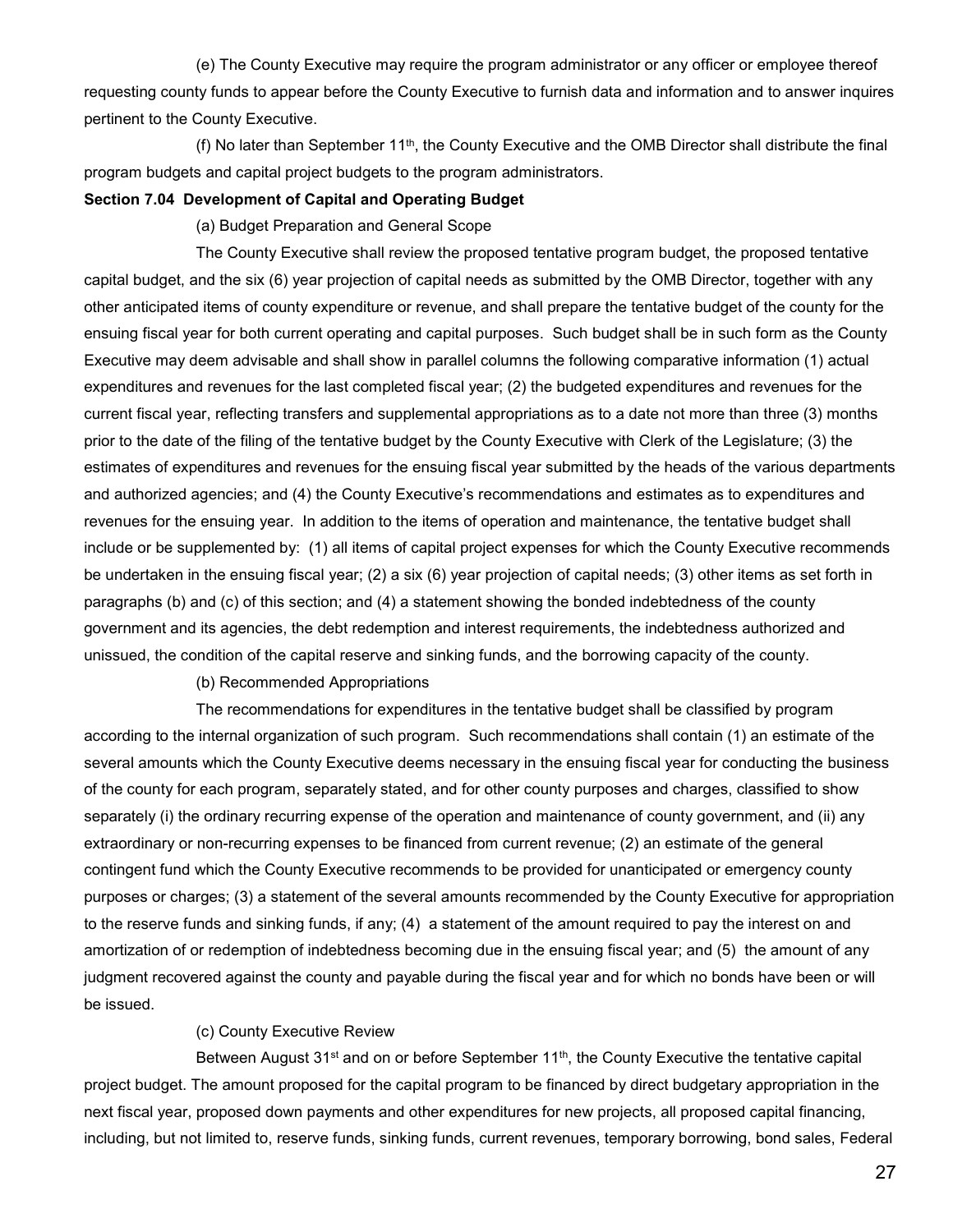(e) The County Executive may require the program administrator or any officer or employee thereof requesting county funds to appear before the County Executive to furnish data and information and to answer inquires pertinent to the County Executive.

(f) No later than September 11th, the County Executive and the OMB Director shall distribute the final program budgets and capital project budgets to the program administrators.

#### **Section 7.04 Development of Capital and Operating Budget**

(a) Budget Preparation and General Scope

The County Executive shall review the proposed tentative program budget, the proposed tentative capital budget, and the six (6) year projection of capital needs as submitted by the OMB Director, together with any other anticipated items of county expenditure or revenue, and shall prepare the tentative budget of the county for the ensuing fiscal year for both current operating and capital purposes. Such budget shall be in such form as the County Executive may deem advisable and shall show in parallel columns the following comparative information (1) actual expenditures and revenues for the last completed fiscal year; (2) the budgeted expenditures and revenues for the current fiscal year, reflecting transfers and supplemental appropriations as to a date not more than three (3) months prior to the date of the filing of the tentative budget by the County Executive with Clerk of the Legislature; (3) the estimates of expenditures and revenues for the ensuing fiscal year submitted by the heads of the various departments and authorized agencies; and (4) the County Executive's recommendations and estimates as to expenditures and revenues for the ensuing year. In addition to the items of operation and maintenance, the tentative budget shall include or be supplemented by: (1) all items of capital project expenses for which the County Executive recommends be undertaken in the ensuing fiscal year; (2) a six (6) year projection of capital needs; (3) other items as set forth in paragraphs (b) and (c) of this section; and (4) a statement showing the bonded indebtedness of the county government and its agencies, the debt redemption and interest requirements, the indebtedness authorized and unissued, the condition of the capital reserve and sinking funds, and the borrowing capacity of the county.

(b) Recommended Appropriations

The recommendations for expenditures in the tentative budget shall be classified by program according to the internal organization of such program. Such recommendations shall contain (1) an estimate of the several amounts which the County Executive deems necessary in the ensuing fiscal year for conducting the business of the county for each program, separately stated, and for other county purposes and charges, classified to show separately (i) the ordinary recurring expense of the operation and maintenance of county government, and (ii) any extraordinary or non-recurring expenses to be financed from current revenue; (2) an estimate of the general contingent fund which the County Executive recommends to be provided for unanticipated or emergency county purposes or charges; (3) a statement of the several amounts recommended by the County Executive for appropriation to the reserve funds and sinking funds, if any; (4) a statement of the amount required to pay the interest on and amortization of or redemption of indebtedness becoming due in the ensuing fiscal year; and (5) the amount of any judgment recovered against the county and payable during the fiscal year and for which no bonds have been or will be issued.

## (c) County Executive Review

Between August  $31<sup>st</sup>$  and on or before September  $11<sup>th</sup>$ , the County Executive the tentative capital project budget. The amount proposed for the capital program to be financed by direct budgetary appropriation in the next fiscal year, proposed down payments and other expenditures for new projects, all proposed capital financing, including, but not limited to, reserve funds, sinking funds, current revenues, temporary borrowing, bond sales, Federal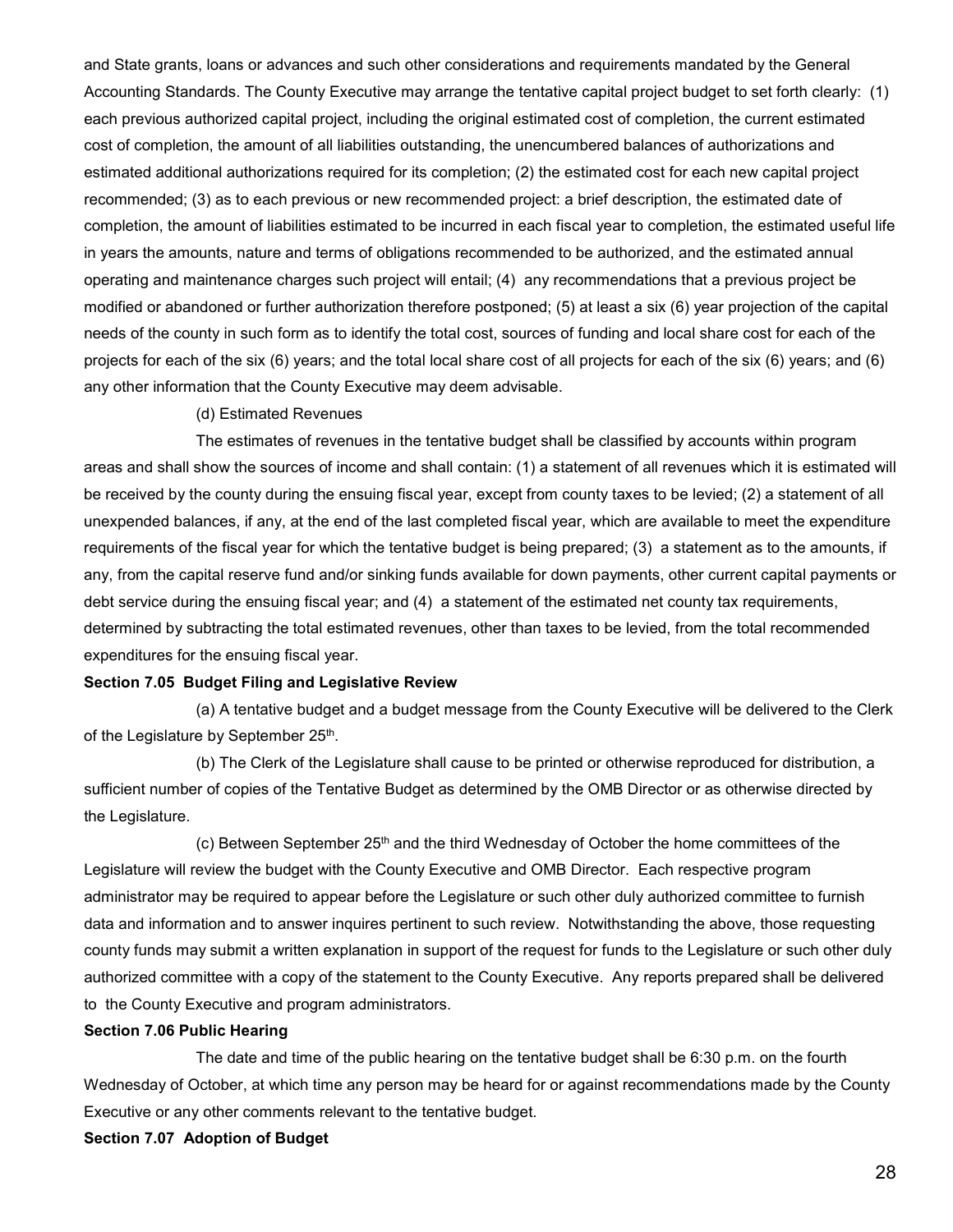and State grants, loans or advances and such other considerations and requirements mandated by the General Accounting Standards. The County Executive may arrange the tentative capital project budget to set forth clearly: (1) each previous authorized capital project, including the original estimated cost of completion, the current estimated cost of completion, the amount of all liabilities outstanding, the unencumbered balances of authorizations and estimated additional authorizations required for its completion; (2) the estimated cost for each new capital project recommended; (3) as to each previous or new recommended project: a brief description, the estimated date of completion, the amount of liabilities estimated to be incurred in each fiscal year to completion, the estimated useful life in years the amounts, nature and terms of obligations recommended to be authorized, and the estimated annual operating and maintenance charges such project will entail; (4) any recommendations that a previous project be modified or abandoned or further authorization therefore postponed; (5) at least a six (6) year projection of the capital needs of the county in such form as to identify the total cost, sources of funding and local share cost for each of the projects for each of the six (6) years; and the total local share cost of all projects for each of the six (6) years; and (6) any other information that the County Executive may deem advisable.

#### (d) Estimated Revenues

The estimates of revenues in the tentative budget shall be classified by accounts within program areas and shall show the sources of income and shall contain: (1) a statement of all revenues which it is estimated will be received by the county during the ensuing fiscal year, except from county taxes to be levied; (2) a statement of all unexpended balances, if any, at the end of the last completed fiscal year, which are available to meet the expenditure requirements of the fiscal year for which the tentative budget is being prepared; (3) a statement as to the amounts, if any, from the capital reserve fund and/or sinking funds available for down payments, other current capital payments or debt service during the ensuing fiscal year; and (4) a statement of the estimated net county tax requirements, determined by subtracting the total estimated revenues, other than taxes to be levied, from the total recommended expenditures for the ensuing fiscal year.

#### **Section 7.05 Budget Filing and Legislative Review**

(a) A tentative budget and a budget message from the County Executive will be delivered to the Clerk of the Legislature by September 25th.

(b) The Clerk of the Legislature shall cause to be printed or otherwise reproduced for distribution, a sufficient number of copies of the Tentative Budget as determined by the OMB Director or as otherwise directed by the Legislature.

 $(c)$  Between September 25<sup>th</sup> and the third Wednesday of October the home committees of the Legislature will review the budget with the County Executive and OMB Director. Each respective program administrator may be required to appear before the Legislature or such other duly authorized committee to furnish data and information and to answer inquires pertinent to such review. Notwithstanding the above, those requesting county funds may submit a written explanation in support of the request for funds to the Legislature or such other duly authorized committee with a copy of the statement to the County Executive. Any reports prepared shall be delivered to the County Executive and program administrators.

## **Section 7.06 Public Hearing**

The date and time of the public hearing on the tentative budget shall be 6:30 p.m. on the fourth Wednesday of October, at which time any person may be heard for or against recommendations made by the County Executive or any other comments relevant to the tentative budget.

#### **Section 7.07 Adoption of Budget**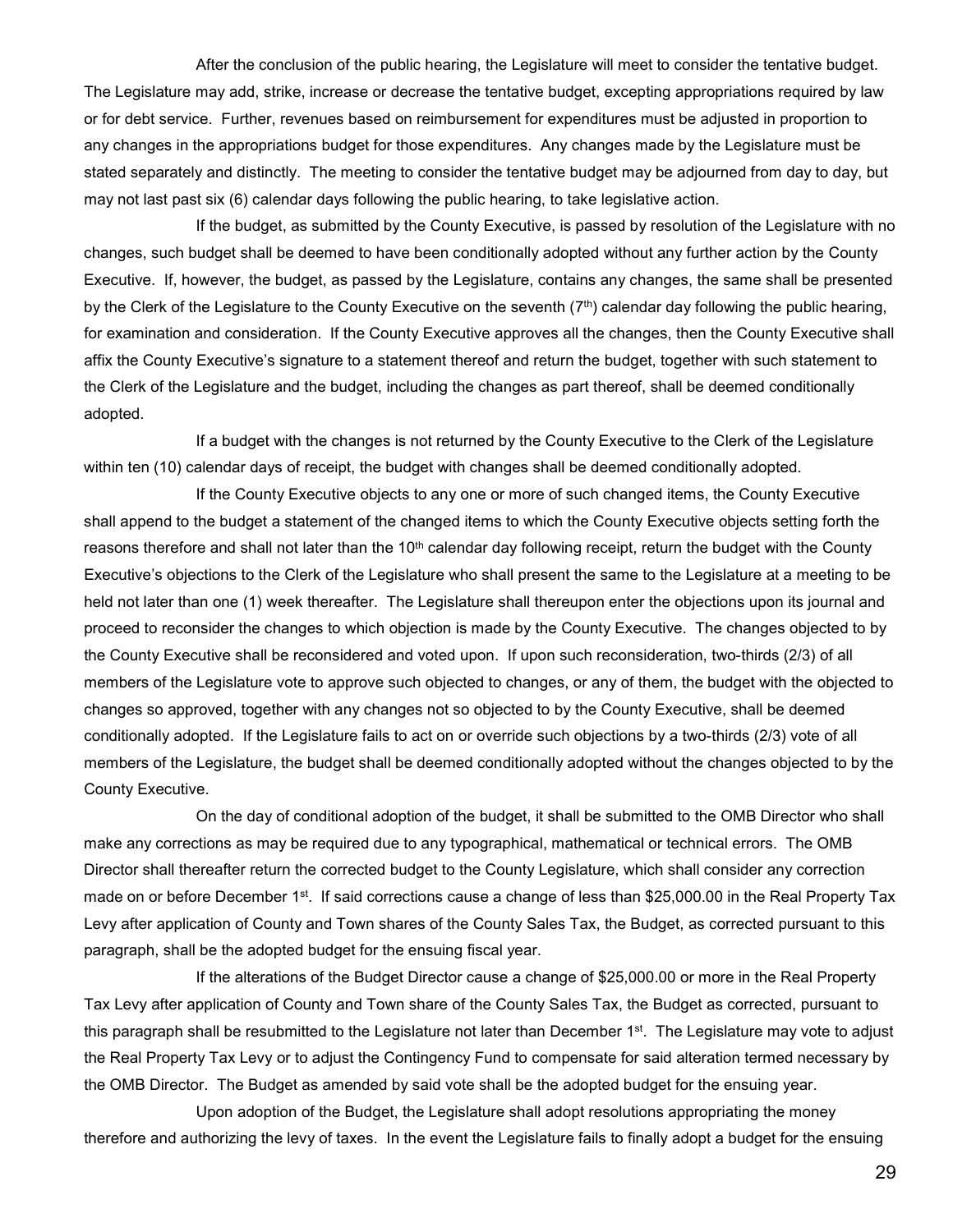After the conclusion of the public hearing, the Legislature will meet to consider the tentative budget. The Legislature may add, strike, increase or decrease the tentative budget, excepting appropriations required by law or for debt service. Further, revenues based on reimbursement for expenditures must be adjusted in proportion to any changes in the appropriations budget for those expenditures. Any changes made by the Legislature must be stated separately and distinctly. The meeting to consider the tentative budget may be adjourned from day to day, but may not last past six (6) calendar days following the public hearing, to take legislative action.

If the budget, as submitted by the County Executive, is passed by resolution of the Legislature with no changes, such budget shall be deemed to have been conditionally adopted without any further action by the County Executive. If, however, the budget, as passed by the Legislature, contains any changes, the same shall be presented by the Clerk of the Legislature to the County Executive on the seventh (7<sup>th</sup>) calendar day following the public hearing, for examination and consideration. If the County Executive approves all the changes, then the County Executive shall affix the County Executive's signature to a statement thereof and return the budget, together with such statement to the Clerk of the Legislature and the budget, including the changes as part thereof, shall be deemed conditionally adopted.

If a budget with the changes is not returned by the County Executive to the Clerk of the Legislature within ten (10) calendar days of receipt, the budget with changes shall be deemed conditionally adopted.

If the County Executive objects to any one or more of such changed items, the County Executive shall append to the budget a statement of the changed items to which the County Executive objects setting forth the reasons therefore and shall not later than the  $10<sup>th</sup>$  calendar day following receipt, return the budget with the County Executive's objections to the Clerk of the Legislature who shall present the same to the Legislature at a meeting to be held not later than one (1) week thereafter. The Legislature shall thereupon enter the objections upon its journal and proceed to reconsider the changes to which objection is made by the County Executive. The changes objected to by the County Executive shall be reconsidered and voted upon. If upon such reconsideration, two-thirds (2/3) of all members of the Legislature vote to approve such objected to changes, or any of them, the budget with the objected to changes so approved, together with any changes not so objected to by the County Executive, shall be deemed conditionally adopted. If the Legislature fails to act on or override such objections by a two-thirds (2/3) vote of all members of the Legislature, the budget shall be deemed conditionally adopted without the changes objected to by the County Executive.

On the day of conditional adoption of the budget, it shall be submitted to the OMB Director who shall make any corrections as may be required due to any typographical, mathematical or technical errors. The OMB Director shall thereafter return the corrected budget to the County Legislature, which shall consider any correction made on or before December 1<sup>st</sup>. If said corrections cause a change of less than \$25,000.00 in the Real Property Tax Levy after application of County and Town shares of the County Sales Tax, the Budget, as corrected pursuant to this paragraph, shall be the adopted budget for the ensuing fiscal year.

If the alterations of the Budget Director cause a change of \$25,000.00 or more in the Real Property Tax Levy after application of County and Town share of the County Sales Tax, the Budget as corrected, pursuant to this paragraph shall be resubmitted to the Legislature not later than December 1<sup>st</sup>. The Legislature may vote to adjust the Real Property Tax Levy or to adjust the Contingency Fund to compensate for said alteration termed necessary by the OMB Director. The Budget as amended by said vote shall be the adopted budget for the ensuing year.

Upon adoption of the Budget, the Legislature shall adopt resolutions appropriating the money therefore and authorizing the levy of taxes. In the event the Legislature fails to finally adopt a budget for the ensuing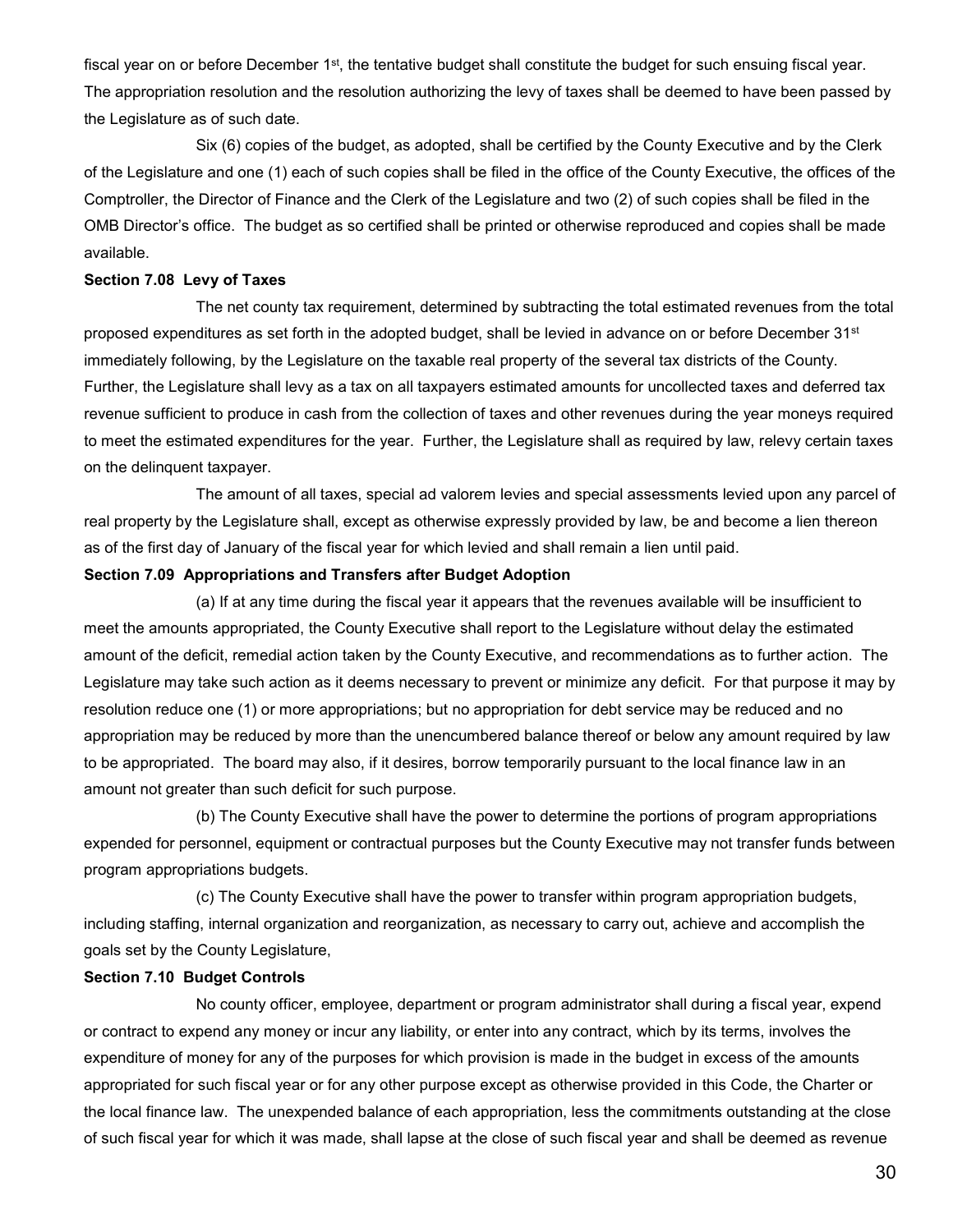fiscal year on or before December  $1<sup>st</sup>$ , the tentative budget shall constitute the budget for such ensuing fiscal year. The appropriation resolution and the resolution authorizing the levy of taxes shall be deemed to have been passed by the Legislature as of such date.

Six (6) copies of the budget, as adopted, shall be certified by the County Executive and by the Clerk of the Legislature and one (1) each of such copies shall be filed in the office of the County Executive, the offices of the Comptroller, the Director of Finance and the Clerk of the Legislature and two (2) of such copies shall be filed in the OMB Director's office. The budget as so certified shall be printed or otherwise reproduced and copies shall be made available.

#### **Section 7.08 Levy of Taxes**

The net county tax requirement, determined by subtracting the total estimated revenues from the total proposed expenditures as set forth in the adopted budget, shall be levied in advance on or before December 31<sup>st</sup> immediately following, by the Legislature on the taxable real property of the several tax districts of the County. Further, the Legislature shall levy as a tax on all taxpayers estimated amounts for uncollected taxes and deferred tax revenue sufficient to produce in cash from the collection of taxes and other revenues during the year moneys required to meet the estimated expenditures for the year. Further, the Legislature shall as required by law, relevy certain taxes on the delinquent taxpayer.

The amount of all taxes, special ad valorem levies and special assessments levied upon any parcel of real property by the Legislature shall, except as otherwise expressly provided by law, be and become a lien thereon as of the first day of January of the fiscal year for which levied and shall remain a lien until paid.

#### **Section 7.09 Appropriations and Transfers after Budget Adoption**

(a) If at any time during the fiscal year it appears that the revenues available will be insufficient to meet the amounts appropriated, the County Executive shall report to the Legislature without delay the estimated amount of the deficit, remedial action taken by the County Executive, and recommendations as to further action. The Legislature may take such action as it deems necessary to prevent or minimize any deficit. For that purpose it may by resolution reduce one (1) or more appropriations; but no appropriation for debt service may be reduced and no appropriation may be reduced by more than the unencumbered balance thereof or below any amount required by law to be appropriated. The board may also, if it desires, borrow temporarily pursuant to the local finance law in an amount not greater than such deficit for such purpose.

(b) The County Executive shall have the power to determine the portions of program appropriations expended for personnel, equipment or contractual purposes but the County Executive may not transfer funds between program appropriations budgets.

(c) The County Executive shall have the power to transfer within program appropriation budgets, including staffing, internal organization and reorganization, as necessary to carry out, achieve and accomplish the goals set by the County Legislature,

#### **Section 7.10 Budget Controls**

No county officer, employee, department or program administrator shall during a fiscal year, expend or contract to expend any money or incur any liability, or enter into any contract, which by its terms, involves the expenditure of money for any of the purposes for which provision is made in the budget in excess of the amounts appropriated for such fiscal year or for any other purpose except as otherwise provided in this Code, the Charter or the local finance law. The unexpended balance of each appropriation, less the commitments outstanding at the close of such fiscal year for which it was made, shall lapse at the close of such fiscal year and shall be deemed as revenue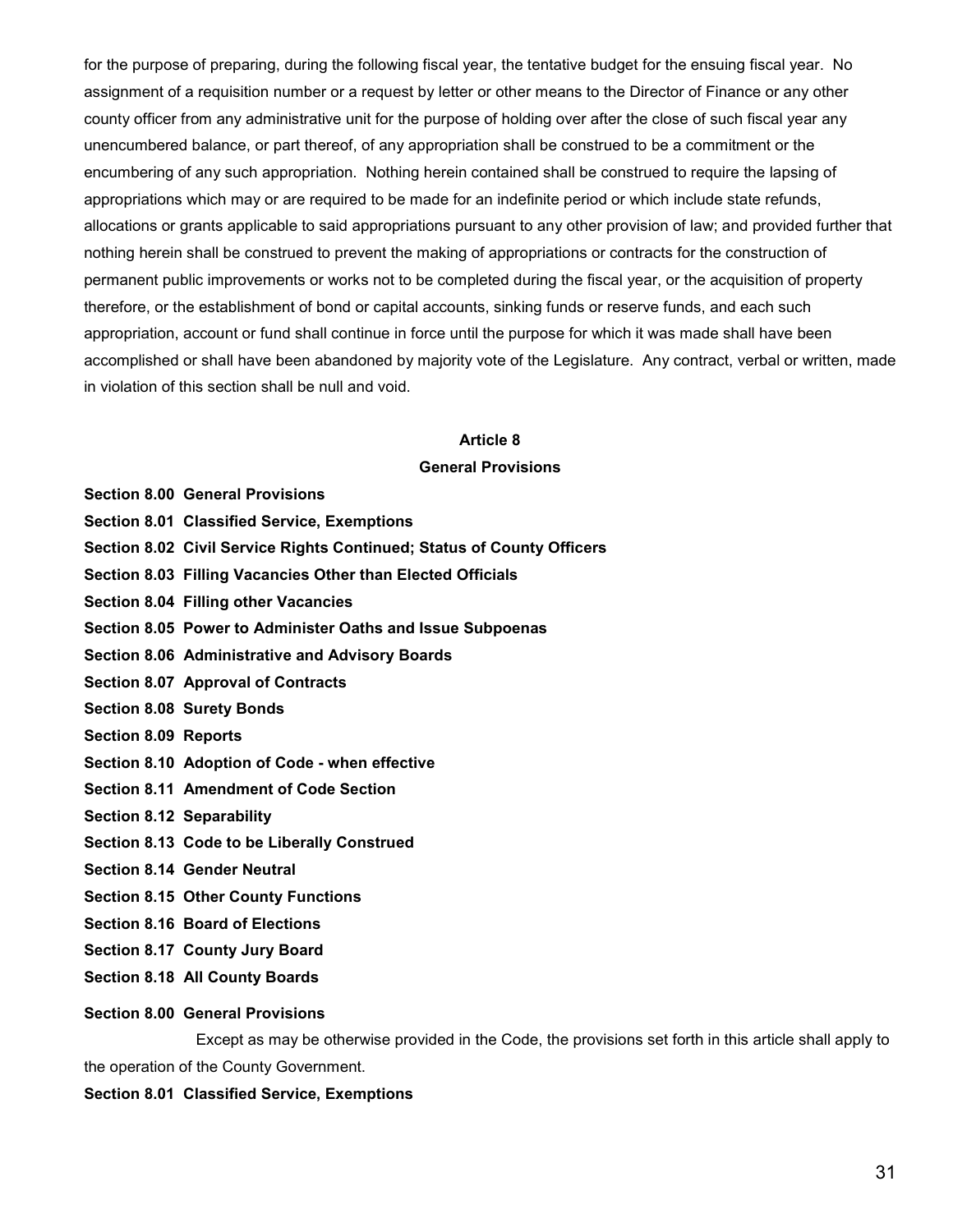for the purpose of preparing, during the following fiscal year, the tentative budget for the ensuing fiscal year. No assignment of a requisition number or a request by letter or other means to the Director of Finance or any other county officer from any administrative unit for the purpose of holding over after the close of such fiscal year any unencumbered balance, or part thereof, of any appropriation shall be construed to be a commitment or the encumbering of any such appropriation. Nothing herein contained shall be construed to require the lapsing of appropriations which may or are required to be made for an indefinite period or which include state refunds, allocations or grants applicable to said appropriations pursuant to any other provision of law; and provided further that nothing herein shall be construed to prevent the making of appropriations or contracts for the construction of permanent public improvements or works not to be completed during the fiscal year, or the acquisition of property therefore, or the establishment of bond or capital accounts, sinking funds or reserve funds, and each such appropriation, account or fund shall continue in force until the purpose for which it was made shall have been accomplished or shall have been abandoned by majority vote of the Legislature. Any contract, verbal or written, made in violation of this section shall be null and void.

## **Article 8 General Provisions**

- **Section 8.00 General Provisions**
- **Section 8.01 Classified Service, Exemptions**
- **Section 8.02 Civil Service Rights Continued; Status of County Officers**
- **Section 8.03 Filling Vacancies Other than Elected Officials**
- **Section 8.04 Filling other Vacancies**
- **Section 8.05 Power to Administer Oaths and Issue Subpoenas**
- **Section 8.06 Administrative and Advisory Boards**
- **Section 8.07 Approval of Contracts**
- **Section 8.08 Surety Bonds**
- **Section 8.09 Reports**
- **Section 8.10 Adoption of Code - when effective**
- **Section 8.11 Amendment of Code Section**
- **Section 8.12 Separability**
- **Section 8.13 Code to be Liberally Construed**
- **Section 8.14 Gender Neutral**
- **Section 8.15 Other County Functions**
- **Section 8.16 Board of Elections**
- **Section 8.17 County Jury Board**
- **Section 8.18 All County Boards**

#### **Section 8.00 General Provisions**

Except as may be otherwise provided in the Code, the provisions set forth in this article shall apply to the operation of the County Government.

#### **Section 8.01 Classified Service, Exemptions**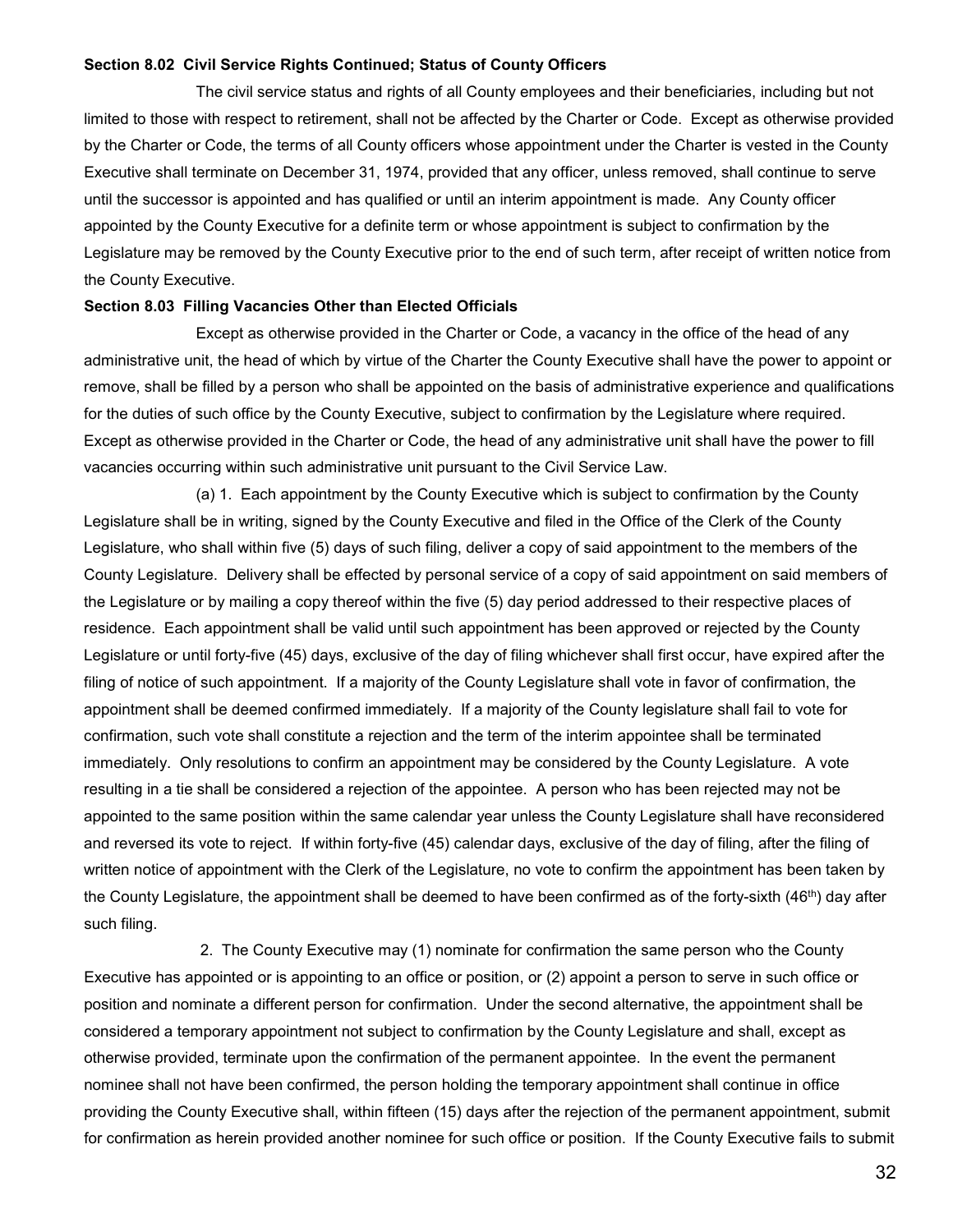#### **Section 8.02 Civil Service Rights Continued; Status of County Officers**

The civil service status and rights of all County employees and their beneficiaries, including but not limited to those with respect to retirement, shall not be affected by the Charter or Code. Except as otherwise provided by the Charter or Code, the terms of all County officers whose appointment under the Charter is vested in the County Executive shall terminate on December 31, 1974, provided that any officer, unless removed, shall continue to serve until the successor is appointed and has qualified or until an interim appointment is made. Any County officer appointed by the County Executive for a definite term or whose appointment is subject to confirmation by the Legislature may be removed by the County Executive prior to the end of such term, after receipt of written notice from the County Executive.

#### **Section 8.03 Filling Vacancies Other than Elected Officials**

Except as otherwise provided in the Charter or Code, a vacancy in the office of the head of any administrative unit, the head of which by virtue of the Charter the County Executive shall have the power to appoint or remove, shall be filled by a person who shall be appointed on the basis of administrative experience and qualifications for the duties of such office by the County Executive, subject to confirmation by the Legislature where required. Except as otherwise provided in the Charter or Code, the head of any administrative unit shall have the power to fill vacancies occurring within such administrative unit pursuant to the Civil Service Law.

(a) 1. Each appointment by the County Executive which is subject to confirmation by the County Legislature shall be in writing, signed by the County Executive and filed in the Office of the Clerk of the County Legislature, who shall within five (5) days of such filing, deliver a copy of said appointment to the members of the County Legislature. Delivery shall be effected by personal service of a copy of said appointment on said members of the Legislature or by mailing a copy thereof within the five (5) day period addressed to their respective places of residence. Each appointment shall be valid until such appointment has been approved or rejected by the County Legislature or until forty-five (45) days, exclusive of the day of filing whichever shall first occur, have expired after the filing of notice of such appointment. If a majority of the County Legislature shall vote in favor of confirmation, the appointment shall be deemed confirmed immediately. If a majority of the County legislature shall fail to vote for confirmation, such vote shall constitute a rejection and the term of the interim appointee shall be terminated immediately. Only resolutions to confirm an appointment may be considered by the County Legislature. A vote resulting in a tie shall be considered a rejection of the appointee. A person who has been rejected may not be appointed to the same position within the same calendar year unless the County Legislature shall have reconsidered and reversed its vote to reject. If within forty-five (45) calendar days, exclusive of the day of filing, after the filing of written notice of appointment with the Clerk of the Legislature, no vote to confirm the appointment has been taken by the County Legislature, the appointment shall be deemed to have been confirmed as of the forty-sixth (46<sup>th</sup>) day after such filing.

2. The County Executive may (1) nominate for confirmation the same person who the County Executive has appointed or is appointing to an office or position, or (2) appoint a person to serve in such office or position and nominate a different person for confirmation. Under the second alternative, the appointment shall be considered a temporary appointment not subject to confirmation by the County Legislature and shall, except as otherwise provided, terminate upon the confirmation of the permanent appointee. In the event the permanent nominee shall not have been confirmed, the person holding the temporary appointment shall continue in office providing the County Executive shall, within fifteen (15) days after the rejection of the permanent appointment, submit for confirmation as herein provided another nominee for such office or position. If the County Executive fails to submit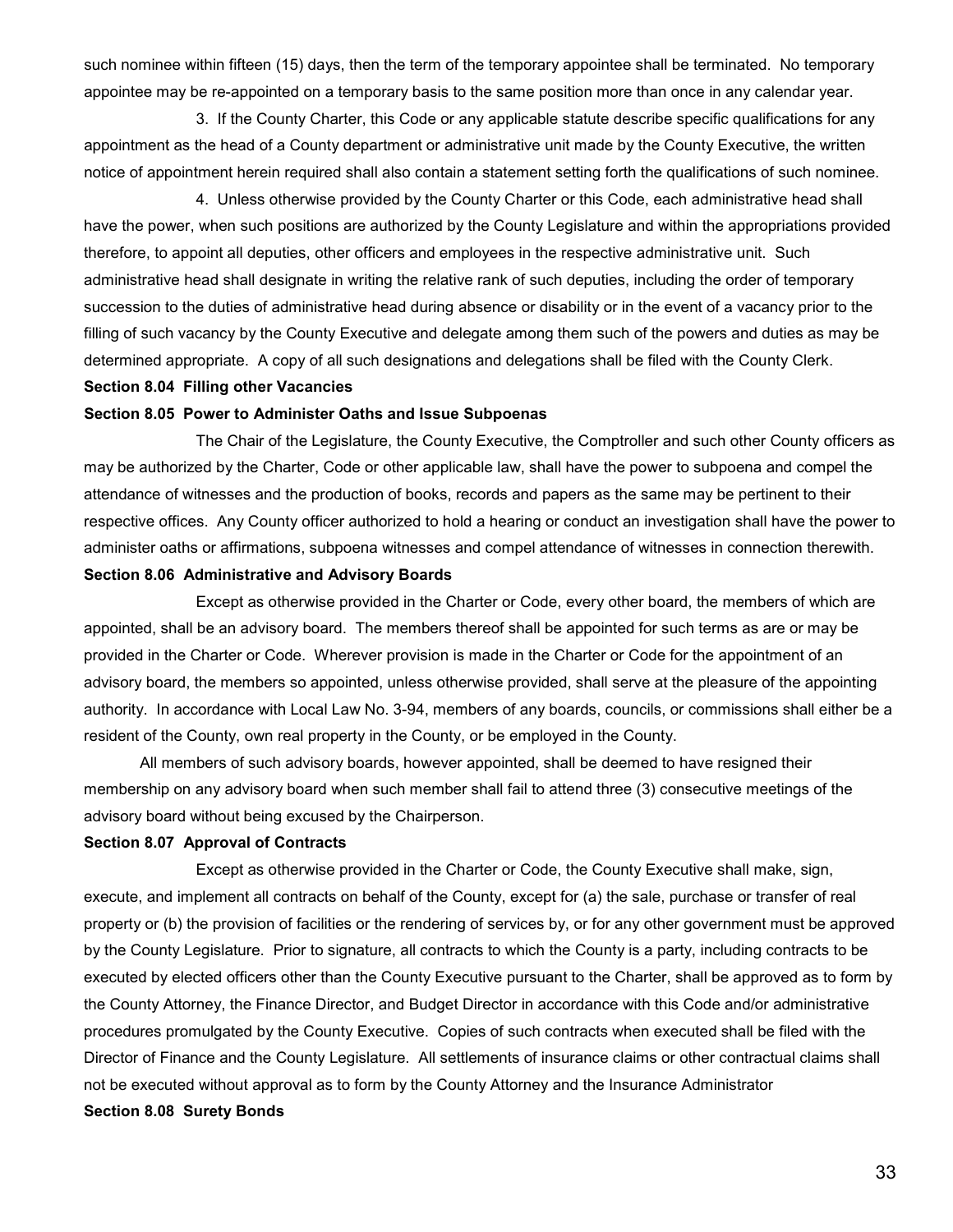such nominee within fifteen (15) days, then the term of the temporary appointee shall be terminated. No temporary appointee may be re-appointed on a temporary basis to the same position more than once in any calendar year.

3. If the County Charter, this Code or any applicable statute describe specific qualifications for any appointment as the head of a County department or administrative unit made by the County Executive, the written notice of appointment herein required shall also contain a statement setting forth the qualifications of such nominee.

4. Unless otherwise provided by the County Charter or this Code, each administrative head shall have the power, when such positions are authorized by the County Legislature and within the appropriations provided therefore, to appoint all deputies, other officers and employees in the respective administrative unit. Such administrative head shall designate in writing the relative rank of such deputies, including the order of temporary succession to the duties of administrative head during absence or disability or in the event of a vacancy prior to the filling of such vacancy by the County Executive and delegate among them such of the powers and duties as may be determined appropriate. A copy of all such designations and delegations shall be filed with the County Clerk.

### **Section 8.04 Filling other Vacancies**

#### **Section 8.05 Power to Administer Oaths and Issue Subpoenas**

The Chair of the Legislature, the County Executive, the Comptroller and such other County officers as may be authorized by the Charter, Code or other applicable law, shall have the power to subpoena and compel the attendance of witnesses and the production of books, records and papers as the same may be pertinent to their respective offices. Any County officer authorized to hold a hearing or conduct an investigation shall have the power to administer oaths or affirmations, subpoena witnesses and compel attendance of witnesses in connection therewith.

#### **Section 8.06 Administrative and Advisory Boards**

Except as otherwise provided in the Charter or Code, every other board, the members of which are appointed, shall be an advisory board. The members thereof shall be appointed for such terms as are or may be provided in the Charter or Code. Wherever provision is made in the Charter or Code for the appointment of an advisory board, the members so appointed, unless otherwise provided, shall serve at the pleasure of the appointing authority. In accordance with Local Law No. 3-94, members of any boards, councils, or commissions shall either be a resident of the County, own real property in the County, or be employed in the County.

All members of such advisory boards, however appointed, shall be deemed to have resigned their membership on any advisory board when such member shall fail to attend three (3) consecutive meetings of the advisory board without being excused by the Chairperson.

#### **Section 8.07 Approval of Contracts**

Except as otherwise provided in the Charter or Code, the County Executive shall make, sign, execute, and implement all contracts on behalf of the County, except for (a) the sale, purchase or transfer of real property or (b) the provision of facilities or the rendering of services by, or for any other government must be approved by the County Legislature. Prior to signature, all contracts to which the County is a party, including contracts to be executed by elected officers other than the County Executive pursuant to the Charter, shall be approved as to form by the County Attorney, the Finance Director, and Budget Director in accordance with this Code and/or administrative procedures promulgated by the County Executive. Copies of such contracts when executed shall be filed with the Director of Finance and the County Legislature. All settlements of insurance claims or other contractual claims shall not be executed without approval as to form by the County Attorney and the Insurance Administrator

#### **Section 8.08 Surety Bonds**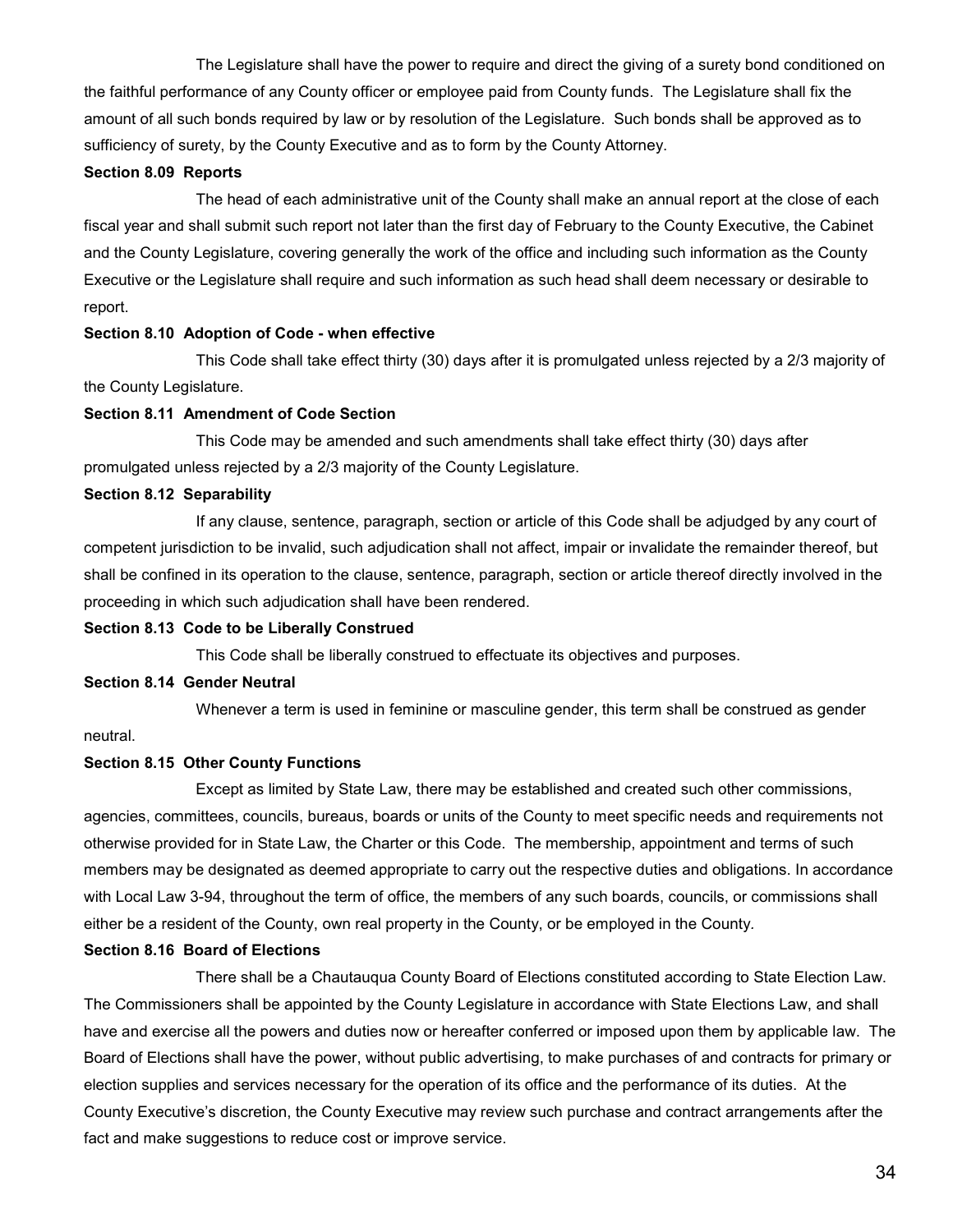The Legislature shall have the power to require and direct the giving of a surety bond conditioned on the faithful performance of any County officer or employee paid from County funds. The Legislature shall fix the amount of all such bonds required by law or by resolution of the Legislature. Such bonds shall be approved as to sufficiency of surety, by the County Executive and as to form by the County Attorney.

#### **Section 8.09 Reports**

The head of each administrative unit of the County shall make an annual report at the close of each fiscal year and shall submit such report not later than the first day of February to the County Executive, the Cabinet and the County Legislature, covering generally the work of the office and including such information as the County Executive or the Legislature shall require and such information as such head shall deem necessary or desirable to report.

## **Section 8.10 Adoption of Code - when effective**

This Code shall take effect thirty (30) days after it is promulgated unless rejected by a 2/3 majority of the County Legislature.

## **Section 8.11 Amendment of Code Section**

This Code may be amended and such amendments shall take effect thirty (30) days after promulgated unless rejected by a 2/3 majority of the County Legislature.

## **Section 8.12 Separability**

If any clause, sentence, paragraph, section or article of this Code shall be adjudged by any court of competent jurisdiction to be invalid, such adjudication shall not affect, impair or invalidate the remainder thereof, but shall be confined in its operation to the clause, sentence, paragraph, section or article thereof directly involved in the proceeding in which such adjudication shall have been rendered.

#### **Section 8.13 Code to be Liberally Construed**

This Code shall be liberally construed to effectuate its objectives and purposes.

#### **Section 8.14 Gender Neutral**

Whenever a term is used in feminine or masculine gender, this term shall be construed as gender

## neutral.

## **Section 8.15 Other County Functions**

Except as limited by State Law, there may be established and created such other commissions, agencies, committees, councils, bureaus, boards or units of the County to meet specific needs and requirements not otherwise provided for in State Law, the Charter or this Code. The membership, appointment and terms of such members may be designated as deemed appropriate to carry out the respective duties and obligations. In accordance with Local Law 3-94, throughout the term of office, the members of any such boards, councils, or commissions shall either be a resident of the County, own real property in the County, or be employed in the County*.*

## **Section 8.16 Board of Elections**

There shall be a Chautauqua County Board of Elections constituted according to State Election Law. The Commissioners shall be appointed by the County Legislature in accordance with State Elections Law, and shall have and exercise all the powers and duties now or hereafter conferred or imposed upon them by applicable law. The Board of Elections shall have the power, without public advertising, to make purchases of and contracts for primary or election supplies and services necessary for the operation of its office and the performance of its duties. At the County Executive's discretion, the County Executive may review such purchase and contract arrangements after the fact and make suggestions to reduce cost or improve service.